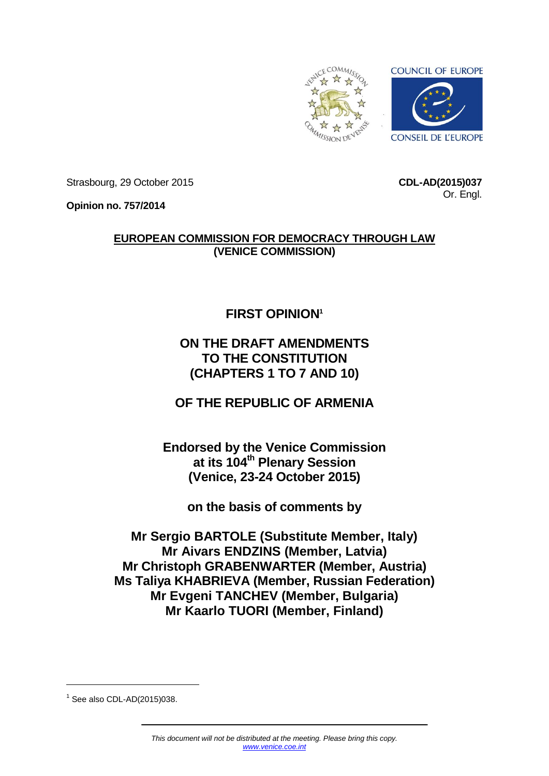

Strasbourg, 29 October 2015

**CDL-AD(2015)037** Or. Engl.

**Opinion no. 757/2014**

# **EUROPEAN COMMISSION FOR DEMOCRACY THROUGH LAW (VENICE COMMISSION)**

# **FIRST OPINION<sup>1</sup>**

# **ON THE DRAFT AMENDMENTS TO THE CONSTITUTION (CHAPTERS 1 TO 7 AND 10)**

**OF THE REPUBLIC OF ARMENIA**

**Endorsed by the Venice Commission at its 104th Plenary Session (Venice, 23-24 October 2015)**

**on the basis of comments by**

**Mr Sergio BARTOLE (Substitute Member, Italy) Mr Aivars ENDZINS (Member, Latvia) Mr Christoph GRABENWARTER (Member, Austria) Ms Taliya KHABRIEVA (Member, Russian Federation) Mr Evgeni TANCHEV (Member, Bulgaria) Mr Kaarlo TUORI (Member, Finland)**

-

<sup>1</sup> See also CDL-AD(2015)038.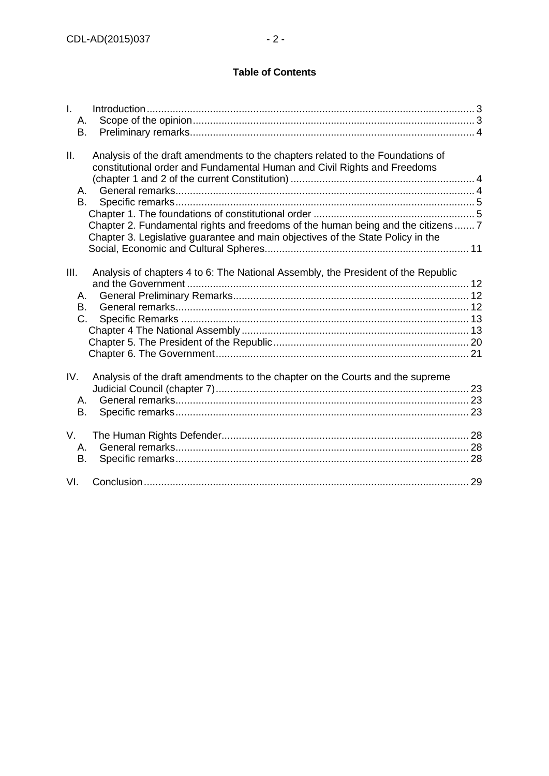# **Table of Contents**

| $\mathbf{L}$<br>А.<br>В. |                                                                                                                                                                                                                                                                                                                                   |  |
|--------------------------|-----------------------------------------------------------------------------------------------------------------------------------------------------------------------------------------------------------------------------------------------------------------------------------------------------------------------------------|--|
| Ш.<br>А.<br>В.           | Analysis of the draft amendments to the chapters related to the Foundations of<br>constitutional order and Fundamental Human and Civil Rights and Freedoms<br>Chapter 2. Fundamental rights and freedoms of the human being and the citizens 7<br>Chapter 3. Legislative guarantee and main objectives of the State Policy in the |  |
| III.<br>А.<br>B.<br>C.   | Analysis of chapters 4 to 6: The National Assembly, the President of the Republic                                                                                                                                                                                                                                                 |  |
| IV.<br>А.<br>В.          | Analysis of the draft amendments to the chapter on the Courts and the supreme                                                                                                                                                                                                                                                     |  |
| V.<br>А.<br>В.           |                                                                                                                                                                                                                                                                                                                                   |  |
| VI.                      |                                                                                                                                                                                                                                                                                                                                   |  |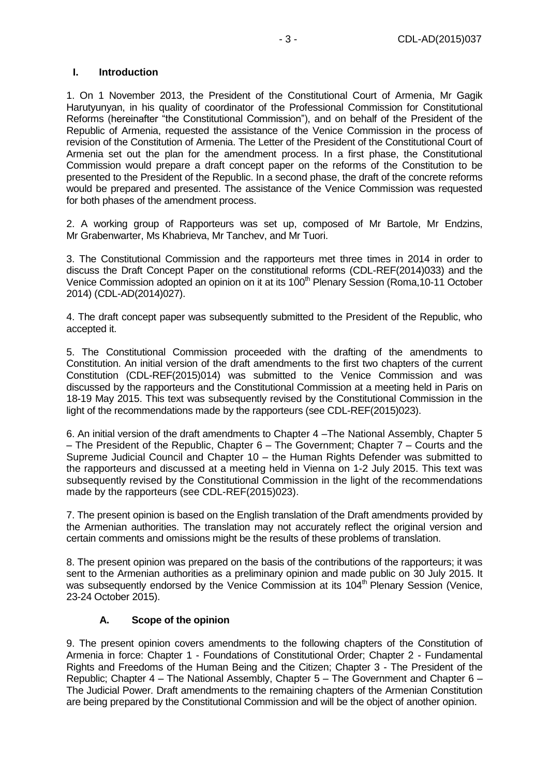# <span id="page-2-0"></span>**I. Introduction**

1. On 1 November 2013, the President of the Constitutional Court of Armenia, Mr Gagik Harutyunyan, in his quality of coordinator of the Professional Commission for Constitutional Reforms (hereinafter "the Constitutional Commission"), and on behalf of the President of the Republic of Armenia, requested the assistance of the Venice Commission in the process of revision of the Constitution of Armenia. The Letter of the President of the Constitutional Court of Armenia set out the plan for the amendment process. In a first phase, the Constitutional Commission would prepare a draft concept paper on the reforms of the Constitution to be presented to the President of the Republic. In a second phase, the draft of the concrete reforms would be prepared and presented. The assistance of the Venice Commission was requested for both phases of the amendment process.

2. A working group of Rapporteurs was set up, composed of Mr Bartole, Mr Endzins, Mr Grabenwarter, Ms Khabrieva, Mr Tanchev, and Mr Tuori.

3. The Constitutional Commission and the rapporteurs met three times in 2014 in order to discuss the Draft Concept Paper on the constitutional reforms (CDL-REF(2014)033) and the Venice Commission adopted an opinion on it at its 100<sup>th</sup> Plenary Session (Roma, 10-11 October 2014) (CDL-AD(2014)027).

4. The draft concept paper was subsequently submitted to the President of the Republic, who accepted it.

5. The Constitutional Commission proceeded with the drafting of the amendments to Constitution. An initial version of the draft amendments to the first two chapters of the current Constitution (CDL-REF(2015)014) was submitted to the Venice Commission and was discussed by the rapporteurs and the Constitutional Commission at a meeting held in Paris on 18-19 May 2015. This text was subsequently revised by the Constitutional Commission in the light of the recommendations made by the rapporteurs (see CDL-REF(2015)023).

6. An initial version of the draft amendments to Chapter 4 –The National Assembly, Chapter 5 – The President of the Republic, Chapter 6 – The Government; Chapter 7 – Courts and the Supreme Judicial Council and Chapter 10 – the Human Rights Defender was submitted to the rapporteurs and discussed at a meeting held in Vienna on 1-2 July 2015. This text was subsequently revised by the Constitutional Commission in the light of the recommendations made by the rapporteurs (see CDL-REF(2015)023).

7. The present opinion is based on the English translation of the Draft amendments provided by the Armenian authorities. The translation may not accurately reflect the original version and certain comments and omissions might be the results of these problems of translation.

8. The present opinion was prepared on the basis of the contributions of the rapporteurs; it was sent to the Armenian authorities as a preliminary opinion and made public on 30 July 2015. It was subsequently endorsed by the Venice Commission at its 104<sup>th</sup> Plenary Session (Venice, 23-24 October 2015).

### **A. Scope of the opinion**

<span id="page-2-1"></span>9. The present opinion covers amendments to the following chapters of the Constitution of Armenia in force: Chapter 1 - Foundations of Constitutional Order; Chapter 2 - Fundamental Rights and Freedoms of the Human Being and the Citizen; Chapter 3 - The President of the Republic; Chapter 4 – The National Assembly, Chapter 5 – The Government and Chapter 6 – The Judicial Power. Draft amendments to the remaining chapters of the Armenian Constitution are being prepared by the Constitutional Commission and will be the object of another opinion.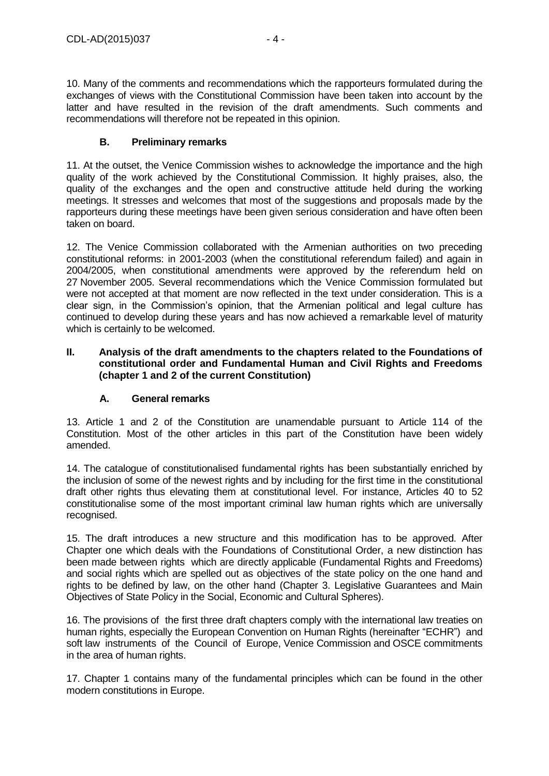10. Many of the comments and recommendations which the rapporteurs formulated during the exchanges of views with the Constitutional Commission have been taken into account by the latter and have resulted in the revision of the draft amendments. Such comments and recommendations will therefore not be repeated in this opinion.

# **B. Preliminary remarks**

<span id="page-3-0"></span>11. At the outset, the Venice Commission wishes to acknowledge the importance and the high quality of the work achieved by the Constitutional Commission. It highly praises, also, the quality of the exchanges and the open and constructive attitude held during the working meetings. It stresses and welcomes that most of the suggestions and proposals made by the rapporteurs during these meetings have been given serious consideration and have often been taken on board.

12. The Venice Commission collaborated with the Armenian authorities on two preceding constitutional reforms: in 2001-2003 (when the constitutional referendum failed) and again in 2004/2005, when constitutional amendments were approved by the referendum held on 27 November 2005. Several recommendations which the Venice Commission formulated but were not accepted at that moment are now reflected in the text under consideration. This is a clear sign, in the Commission's opinion, that the Armenian political and legal culture has continued to develop during these years and has now achieved a remarkable level of maturity which is certainly to be welcomed.

#### <span id="page-3-1"></span>**II. Analysis of the draft amendments to the chapters related to the Foundations of constitutional order and Fundamental Human and Civil Rights and Freedoms (chapter 1 and 2 of the current Constitution)**

# **A. General remarks**

<span id="page-3-2"></span>13. Article 1 and 2 of the Constitution are unamendable pursuant to Article 114 of the Constitution. Most of the other articles in this part of the Constitution have been widely amended.

14. The catalogue of constitutionalised fundamental rights has been substantially enriched by the inclusion of some of the newest rights and by including for the first time in the constitutional draft other rights thus elevating them at constitutional level. For instance, Articles 40 to 52 constitutionalise some of the most important criminal law human rights which are universally recognised.

15. The draft introduces a new structure and this modification has to be approved. After Chapter one which deals with the Foundations of Constitutional Order, a new distinction has been made between rights which are directly applicable (Fundamental Rights and Freedoms) and social rights which are spelled out as objectives of the state policy on the one hand and rights to be defined by law, on the other hand (Chapter 3. Legislative Guarantees and Main Objectives of State Policy in the Social, Economic and Cultural Spheres).

16. The provisions of the first three draft chapters comply with the international law treaties on human rights, especially the European Convention on Human Rights (hereinafter "ECHR") and soft law instruments of the Council of Europe, Venice Commission and OSCE commitments in the area of human rights.

17. Chapter 1 contains many of the fundamental principles which can be found in the other modern constitutions in Europe.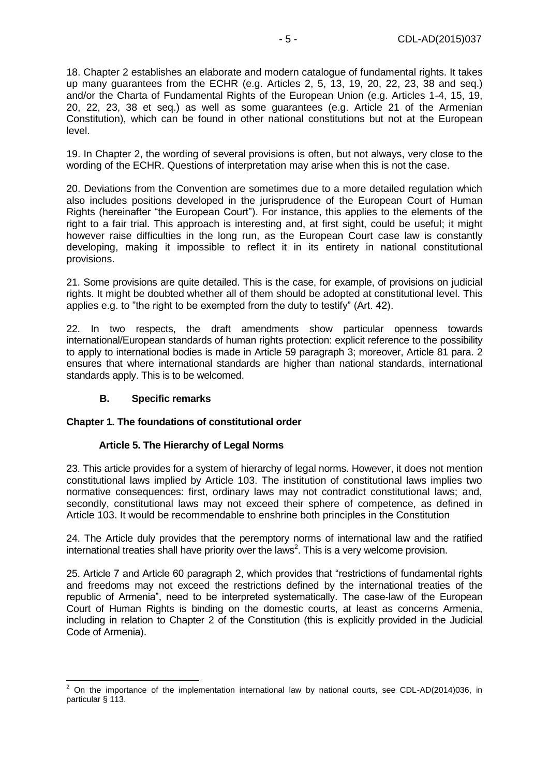18. Chapter 2 establishes an elaborate and modern catalogue of fundamental rights. It takes up many guarantees from the ECHR (e.g. Articles 2, 5, 13, 19, 20, 22, 23, 38 and seq.) and/or the Charta of Fundamental Rights of the European Union (e.g. Articles 1-4, 15, 19, 20, 22, 23, 38 et seq.) as well as some guarantees (e.g. Article 21 of the Armenian Constitution), which can be found in other national constitutions but not at the European level.

19. In Chapter 2, the wording of several provisions is often, but not always, very close to the wording of the ECHR. Questions of interpretation may arise when this is not the case.

20. Deviations from the Convention are sometimes due to a more detailed regulation which also includes positions developed in the jurisprudence of the European Court of Human Rights (hereinafter "the European Court"). For instance, this applies to the elements of the right to a fair trial. This approach is interesting and, at first sight, could be useful; it might however raise difficulties in the long run, as the European Court case law is constantly developing, making it impossible to reflect it in its entirety in national constitutional provisions.

21. Some provisions are quite detailed. This is the case, for example, of provisions on judicial rights. It might be doubted whether all of them should be adopted at constitutional level. This applies e.g. to "the right to be exempted from the duty to testify" (Art. 42).

22. In two respects, the draft amendments show particular openness towards international/European standards of human rights protection: explicit reference to the possibility to apply to international bodies is made in Article 59 paragraph 3; moreover, Article 81 para. 2 ensures that where international standards are higher than national standards, international standards apply. This is to be welcomed.

### **B. Specific remarks**

 $\overline{a}$ 

### <span id="page-4-1"></span><span id="page-4-0"></span>**Chapter 1. The foundations of constitutional order**

### **Article 5. The Hierarchy of Legal Norms**

23. This article provides for a system of hierarchy of legal norms. However, it does not mention constitutional laws implied by Article 103. The institution of constitutional laws implies two normative consequences: first, ordinary laws may not contradict constitutional laws; and, secondly, constitutional laws may not exceed their sphere of competence, as defined in Article 103. It would be recommendable to enshrine both principles in the Constitution

24. The Article duly provides that the peremptory norms of international law and the ratified international treaties shall have priority over the laws<sup>2</sup>. This is a very welcome provision.

25. Article 7 and Article 60 paragraph 2, which provides that "restrictions of fundamental rights and freedoms may not exceed the restrictions defined by the international treaties of the republic of Armenia", need to be interpreted systematically. The case-law of the European Court of Human Rights is binding on the domestic courts, at least as concerns Armenia, including in relation to Chapter 2 of the Constitution (this is explicitly provided in the Judicial Code of Armenia).

 $2$  On the importance of the implementation international law by national courts, see CDL-AD(2014)036, in particular § 113.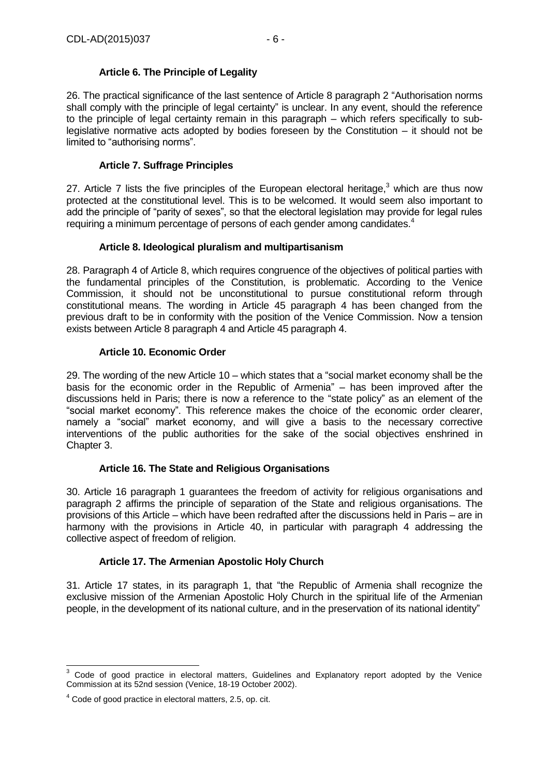# **Article 6. The Principle of Legality**

26. The practical significance of the last sentence of Article 8 paragraph 2 "Authorisation norms shall comply with the principle of legal certainty" is unclear. In any event, should the reference to the principle of legal certainty remain in this paragraph – which refers specifically to sublegislative normative acts adopted by bodies foreseen by the Constitution – it should not be limited to "authorising norms".

# **Article 7. Suffrage Principles**

27. Article 7 lists the five principles of the European electoral heritage,  $3$  which are thus now protected at the constitutional level. This is to be welcomed. It would seem also important to add the principle of "parity of sexes", so that the electoral legislation may provide for legal rules requiring a minimum percentage of persons of each gender among candidates.<sup>4</sup>

### **Article 8. Ideological pluralism and multipartisanism**

28. Paragraph 4 of Article 8, which requires congruence of the objectives of political parties with the fundamental principles of the Constitution, is problematic. According to the Venice Commission, it should not be unconstitutional to pursue constitutional reform through constitutional means. The wording in Article 45 paragraph 4 has been changed from the previous draft to be in conformity with the position of the Venice Commission. Now a tension exists between Article 8 paragraph 4 and Article 45 paragraph 4.

# **Article 10. Economic Order**

29. The wording of the new Article 10 – which states that a "social market economy shall be the basis for the economic order in the Republic of Armenia" – has been improved after the discussions held in Paris; there is now a reference to the "state policy" as an element of the "social market economy". This reference makes the choice of the economic order clearer, namely a "social" market economy, and will give a basis to the necessary corrective interventions of the public authorities for the sake of the social objectives enshrined in Chapter 3.

### **Article 16. The State and Religious Organisations**

30. Article 16 paragraph 1 guarantees the freedom of activity for religious organisations and paragraph 2 affirms the principle of separation of the State and religious organisations. The provisions of this Article – which have been redrafted after the discussions held in Paris – are in harmony with the provisions in Article 40, in particular with paragraph 4 addressing the collective aspect of freedom of religion.

### **Article 17. The Armenian Apostolic Holy Church**

31. Article 17 states, in its paragraph 1, that "the Republic of Armenia shall recognize the exclusive mission of the Armenian Apostolic Holy Church in the spiritual life of the Armenian people, in the development of its national culture, and in the preservation of its national identity"

<sup>-</sup> $3$  Code of good practice in electoral matters, Guidelines and Explanatory report adopted by the Venice Commission at its 52nd session (Venice, 18-19 October 2002).

<sup>4</sup> Code of good practice in electoral matters, 2.5, op. cit.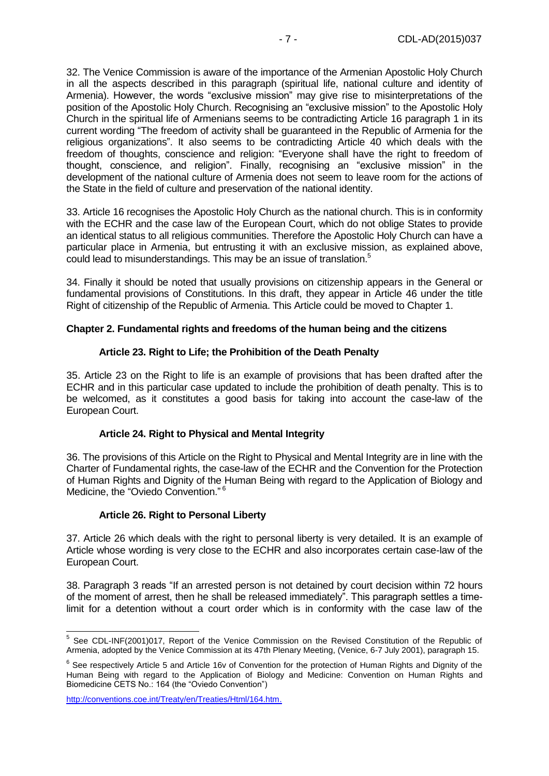32. The Venice Commission is aware of the importance of the Armenian Apostolic Holy Church in all the aspects described in this paragraph (spiritual life, national culture and identity of Armenia). However, the words "exclusive mission" may give rise to misinterpretations of the position of the Apostolic Holy Church. Recognising an "exclusive mission" to the Apostolic Holy Church in the spiritual life of Armenians seems to be contradicting Article 16 paragraph 1 in its current wording "The freedom of activity shall be guaranteed in the Republic of Armenia for the religious organizations". It also seems to be contradicting Article 40 which deals with the freedom of thoughts, conscience and religion: "Everyone shall have the right to freedom of thought, conscience, and religion". Finally, recognising an "exclusive mission" in the development of the national culture of Armenia does not seem to leave room for the actions of the State in the field of culture and preservation of the national identity.

33. Article 16 recognises the Apostolic Holy Church as the national church. This is in conformity with the ECHR and the case law of the European Court, which do not oblige States to provide an identical status to all religious communities. Therefore the Apostolic Holy Church can have a particular place in Armenia, but entrusting it with an exclusive mission, as explained above, could lead to misunderstandings. This may be an issue of translation.<sup>5</sup>

34. Finally it should be noted that usually provisions on citizenship appears in the General or fundamental provisions of Constitutions. In this draft, they appear in Article 46 under the title Right of citizenship of the Republic of Armenia. This Article could be moved to Chapter 1.

### <span id="page-6-0"></span>**Chapter 2. Fundamental rights and freedoms of the human being and the citizens**

#### **Article 23. Right to Life; the Prohibition of the Death Penalty**

35. Article 23 on the Right to life is an example of provisions that has been drafted after the ECHR and in this particular case updated to include the prohibition of death penalty. This is to be welcomed, as it constitutes a good basis for taking into account the case-law of the European Court.

### **Article 24. Right to Physical and Mental Integrity**

36. The provisions of this Article on the Right to Physical and Mental Integrity are in line with the Charter of Fundamental rights, the case-law of the ECHR and the Convention for the Protection of Human Rights and Dignity of the Human Being with regard to the Application of Biology and Medicine, the "Oviedo Convention."<sup>6</sup>

### **Article 26. Right to Personal Liberty**

37. Article 26 which deals with the right to personal liberty is very detailed. It is an example of Article whose wording is very close to the ECHR and also incorporates certain case-law of the European Court.

38. Paragraph 3 reads "If an arrested person is not detained by court decision within 72 hours of the moment of arrest, then he shall be released immediately". This paragraph settles a timelimit for a detention without a court order which is in conformity with the case law of the

[http://conventions.coe.int/Treaty/en/Treaties/Html/164.htm.](http://conventions.coe.int/Treaty/en/Treaties/Html/164.htm)

 5 See CDL-INF(2001)017, Report of the Venice Commission on the Revised Constitution of the Republic of Armenia, adopted by the Venice Commission at its 47th Plenary Meeting, (Venice, 6-7 July 2001), paragraph 15.

 $6$  See respectively Article 5 and Article 16v of Convention for the protection of Human Rights and Dignity of the Human Being with regard to the Application of Biology and Medicine: Convention on Human Rights and Biomedicine CETS No.: 164 (the "Oviedo Convention")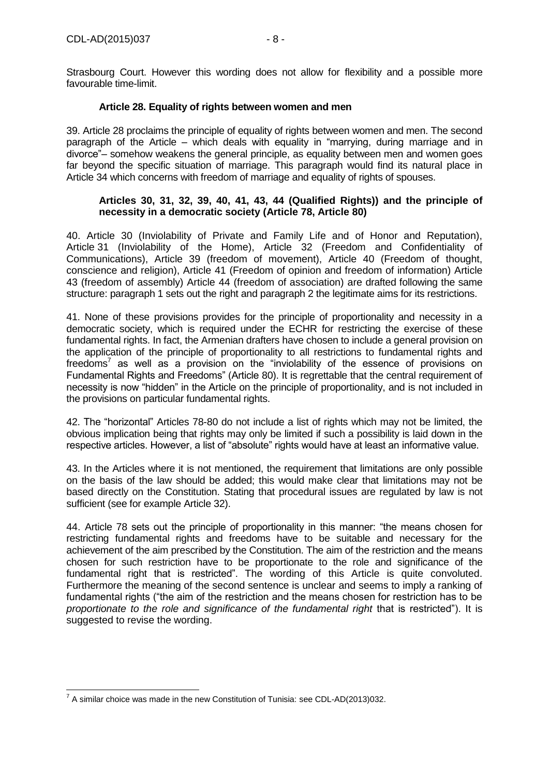Strasbourg Court. However this wording does not allow for flexibility and a possible more favourable time-limit.

### **Article 28. Equality of rights between women and men**

39. Article 28 proclaims the principle of equality of rights between women and men. The second paragraph of the Article – which deals with equality in "marrying, during marriage and in divorce"– somehow weakens the general principle, as equality between men and women goes far beyond the specific situation of marriage. This paragraph would find its natural place in Article 34 which concerns with freedom of marriage and equality of rights of spouses.

#### **Articles 30, 31, 32, 39, 40, 41, 43, 44 (Qualified Rights)) and the principle of necessity in a democratic society (Article 78, Article 80)**

40. Article 30 (Inviolability of Private and Family Life and of Honor and Reputation), Article 31 (Inviolability of the Home), Article 32 (Freedom and Confidentiality of Communications), Article 39 (freedom of movement), Article 40 (Freedom of thought, conscience and religion), Article 41 (Freedom of opinion and freedom of information) Article 43 (freedom of assembly) Article 44 (freedom of association) are drafted following the same structure: paragraph 1 sets out the right and paragraph 2 the legitimate aims for its restrictions.

41. None of these provisions provides for the principle of proportionality and necessity in a democratic society, which is required under the ECHR for restricting the exercise of these fundamental rights. In fact, the Armenian drafters have chosen to include a general provision on the application of the principle of proportionality to all restrictions to fundamental rights and freedoms<sup>7</sup> as well as a provision on the "inviolability of the essence of provisions on Fundamental Rights and Freedoms" (Article 80). It is regrettable that the central requirement of necessity is now "hidden" in the Article on the principle of proportionality, and is not included in the provisions on particular fundamental rights.

42. The "horizontal" Articles 78-80 do not include a list of rights which may not be limited, the obvious implication being that rights may only be limited if such a possibility is laid down in the respective articles. However, a list of "absolute" rights would have at least an informative value.

43. In the Articles where it is not mentioned, the requirement that limitations are only possible on the basis of the law should be added; this would make clear that limitations may not be based directly on the Constitution. Stating that procedural issues are regulated by law is not sufficient (see for example Article 32).

44. Article 78 sets out the principle of proportionality in this manner: "the means chosen for restricting fundamental rights and freedoms have to be suitable and necessary for the achievement of the aim prescribed by the Constitution. The aim of the restriction and the means chosen for such restriction have to be proportionate to the role and significance of the fundamental right that is restricted". The wording of this Article is quite convoluted. Furthermore the meaning of the second sentence is unclear and seems to imply a ranking of fundamental rights ("the aim of the restriction and the means chosen for restriction has to be *proportionate to the role and significance of the fundamental right* that is restricted"). It is suggested to revise the wording.

 7 A similar choice was made in the new Constitution of Tunisia: see CDL-AD(2013)032.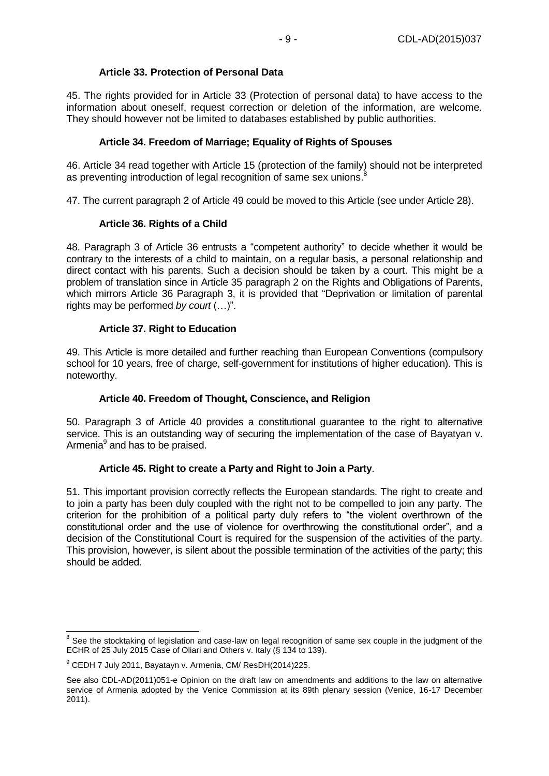# **Article 33. Protection of Personal Data**

45. The rights provided for in Article 33 (Protection of personal data) to have access to the information about oneself, request correction or deletion of the information, are welcome. They should however not be limited to databases established by public authorities.

# **Article 34. Freedom of Marriage; Equality of Rights of Spouses**

46. Article 34 read together with Article 15 (protection of the family) should not be interpreted as preventing introduction of legal recognition of same sex unions.<sup>8</sup>

47. The current paragraph 2 of Article 49 could be moved to this Article (see under Article 28).

# **Article 36. Rights of a Child**

48. Paragraph 3 of Article 36 entrusts a "competent authority" to decide whether it would be contrary to the interests of a child to maintain, on a regular basis, a personal relationship and direct contact with his parents. Such a decision should be taken by a court. This might be a problem of translation since in Article 35 paragraph 2 on the Rights and Obligations of Parents, which mirrors Article 36 Paragraph 3, it is provided that "Deprivation or limitation of parental rights may be performed *by court* (…)".

# **Article 37. Right to Education**

49. This Article is more detailed and further reaching than European Conventions (compulsory school for 10 years, free of charge, self-government for institutions of higher education). This is noteworthy.

### **Article 40. Freedom of Thought, Conscience, and Religion**

50. Paragraph 3 of Article 40 provides a constitutional guarantee to the right to alternative service. This is an outstanding way of securing the implementation of the case of Bayatyan v. Armenia<sup>9</sup> and has to be praised.

### **Article 45. Right to create a Party and Right to Join a Party**.

51. This important provision correctly reflects the European standards. The right to create and to join a party has been duly coupled with the right not to be compelled to join any party. The criterion for the prohibition of a political party duly refers to "the violent overthrown of the constitutional order and the use of violence for overthrowing the constitutional order", and a decision of the Constitutional Court is required for the suspension of the activities of the party. This provision, however, is silent about the possible termination of the activities of the party; this should be added.

 8 See the stocktaking of legislation and case-law on legal recognition of same sex couple in the judgment of the ECHR of 25 July 2015 Case of Oliari and Others v. Italy (§ 134 to 139).

 $9$  CEDH 7 July 2011, Bayatayn v. Armenia, CM/ ResDH(2014)225.

See also CDL-AD(2011)051-e Opinion on the draft law on amendments and additions to the law on alternative service of Armenia adopted by the Venice Commission at its 89th plenary session (Venice, 16-17 December 2011).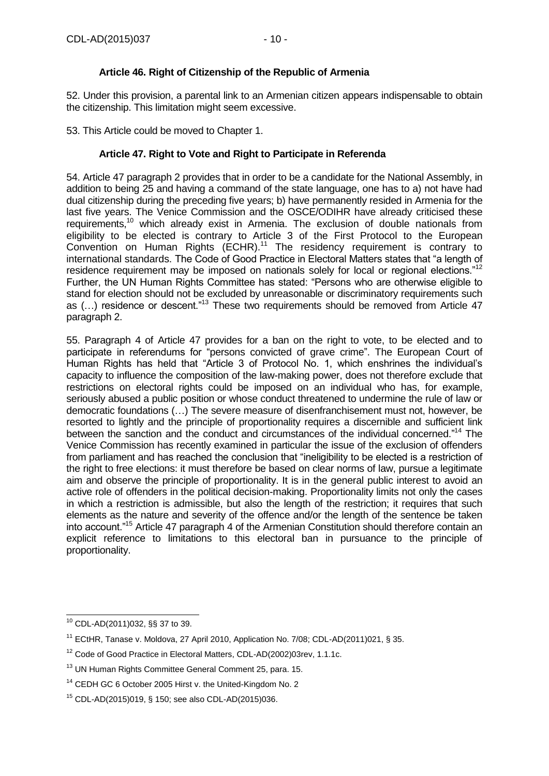# **Article 46. Right of Citizenship of the Republic of Armenia**

52. Under this provision, a parental link to an Armenian citizen appears indispensable to obtain the citizenship. This limitation might seem excessive.

53. This Article could be moved to Chapter 1.

### **Article 47. Right to Vote and Right to Participate in Referenda**

54. Article 47 paragraph 2 provides that in order to be a candidate for the National Assembly, in addition to being 25 and having a command of the state language, one has to a) not have had dual citizenship during the preceding five years; b) have permanently resided in Armenia for the last five years. The Venice Commission and the OSCE/ODIHR have already criticised these requirements,<sup>10</sup> which already exist in Armenia. The exclusion of double nationals from eligibility to be elected is contrary to Article 3 of the First Protocol to the European Convention on Human Rights (ECHR).<sup>11</sup> The residency requirement is contrary to international standards. The Code of Good Practice in Electoral Matters states that "a length of residence requirement may be imposed on nationals solely for local or regional elections."<sup>12</sup> Further, the UN Human Rights Committee has stated: "Persons who are otherwise eligible to stand for election should not be excluded by unreasonable or discriminatory requirements such as (…) residence or descent."<sup>13</sup> These two requirements should be removed from Article 47 paragraph 2.

55. Paragraph 4 of Article 47 provides for a ban on the right to vote, to be elected and to participate in referendums for "persons convicted of grave crime". The European Court of Human Rights has held that "Article 3 of Protocol No. 1, which enshrines the individual's capacity to influence the composition of the law-making power, does not therefore exclude that restrictions on electoral rights could be imposed on an individual who has, for example, seriously abused a public position or whose conduct threatened to undermine the rule of law or democratic foundations (…) The severe measure of disenfranchisement must not, however, be resorted to lightly and the principle of proportionality requires a discernible and sufficient link between the sanction and the conduct and circumstances of the individual concerned."<sup>14</sup> The Venice Commission has recently examined in particular the issue of the exclusion of offenders from parliament and has reached the conclusion that "ineligibility to be elected is a restriction of the right to free elections: it must therefore be based on clear norms of law, pursue a legitimate aim and observe the principle of proportionality. It is in the general public interest to avoid an active role of offenders in the political decision-making. Proportionality limits not only the cases in which a restriction is admissible, but also the length of the restriction; it requires that such elements as the nature and severity of the offence and/or the length of the sentence be taken into account."<sup>15</sup> Article 47 paragraph 4 of the Armenian Constitution should therefore contain an explicit reference to limitations to this electoral ban in pursuance to the principle of proportionality.

<sup>-</sup><sup>10</sup> CDL-AD(2011)032, §§ 37 to 39.

<sup>&</sup>lt;sup>11</sup> ECtHR, Tanase v. Moldova, 27 April 2010, Application No. 7/08; CDL-AD(2011)021, § 35.

<sup>&</sup>lt;sup>12</sup> Code of Good Practice in Electoral Matters, CDL-AD(2002)03rev, 1.1.1c.

<sup>13</sup> UN Human Rights Committee General Comment 25, para. 15.

<sup>&</sup>lt;sup>14</sup> CEDH GC 6 October 2005 Hirst v. the United-Kingdom No. 2

<sup>15</sup> CDL-AD(2015)019, § 150; see also CDL-AD(2015)036.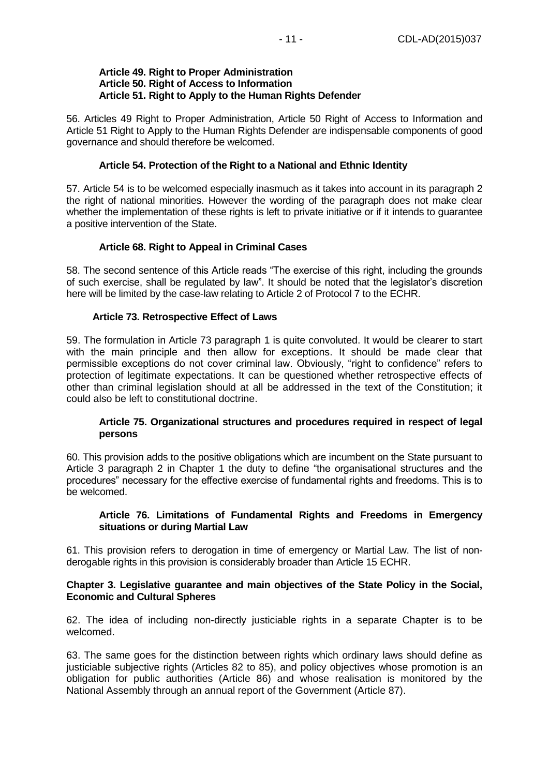#### **Article 49. Right to Proper Administration Article 50. Right of Access to Information Article 51. Right to Apply to the Human Rights Defender**

56. Articles 49 Right to Proper Administration, Article 50 Right of Access to Information and Article 51 Right to Apply to the Human Rights Defender are indispensable components of good governance and should therefore be welcomed.

### **Article 54. Protection of the Right to a National and Ethnic Identity**

57. Article 54 is to be welcomed especially inasmuch as it takes into account in its paragraph 2 the right of national minorities. However the wording of the paragraph does not make clear whether the implementation of these rights is left to private initiative or if it intends to guarantee a positive intervention of the State.

#### **Article 68. Right to Appeal in Criminal Cases**

58. The second sentence of this Article reads "The exercise of this right, including the grounds of such exercise, shall be regulated by law". It should be noted that the legislator's discretion here will be limited by the case-law relating to Article 2 of Protocol 7 to the ECHR.

#### **Article 73. Retrospective Effect of Laws**

59. The formulation in Article 73 paragraph 1 is quite convoluted. It would be clearer to start with the main principle and then allow for exceptions. It should be made clear that permissible exceptions do not cover criminal law. Obviously, "right to confidence" refers to protection of legitimate expectations. It can be questioned whether retrospective effects of other than criminal legislation should at all be addressed in the text of the Constitution; it could also be left to constitutional doctrine.

### **Article 75. Organizational structures and procedures required in respect of legal persons**

60. This provision adds to the positive obligations which are incumbent on the State pursuant to Article 3 paragraph 2 in Chapter 1 the duty to define "the organisational structures and the procedures" necessary for the effective exercise of fundamental rights and freedoms. This is to be welcomed.

#### **Article 76. Limitations of Fundamental Rights and Freedoms in Emergency situations or during Martial Law**

61. This provision refers to derogation in time of emergency or Martial Law. The list of nonderogable rights in this provision is considerably broader than Article 15 ECHR.

#### <span id="page-10-0"></span>**Chapter 3. Legislative guarantee and main objectives of the State Policy in the Social, Economic and Cultural Spheres**

62. The idea of including non-directly justiciable rights in a separate Chapter is to be welcomed.

63. The same goes for the distinction between rights which ordinary laws should define as justiciable subjective rights (Articles 82 to 85), and policy objectives whose promotion is an obligation for public authorities (Article 86) and whose realisation is monitored by the National Assembly through an annual report of the Government (Article 87).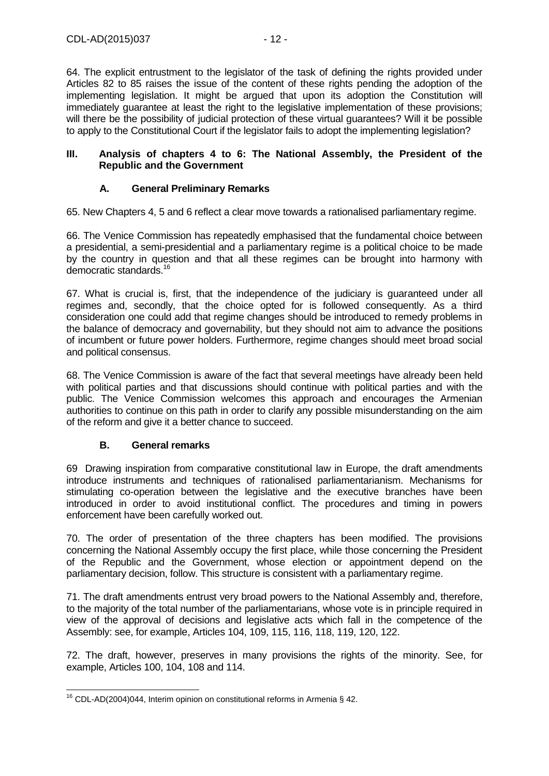64. The explicit entrustment to the legislator of the task of defining the rights provided under Articles 82 to 85 raises the issue of the content of these rights pending the adoption of the implementing legislation. It might be argued that upon its adoption the Constitution will immediately guarantee at least the right to the legislative implementation of these provisions; will there be the possibility of judicial protection of these virtual guarantees? Will it be possible to apply to the Constitutional Court if the legislator fails to adopt the implementing legislation?

#### <span id="page-11-0"></span>**III. Analysis of chapters 4 to 6: The National Assembly, the President of the Republic and the Government**

# **A. General Preliminary Remarks**

<span id="page-11-1"></span>65. New Chapters 4, 5 and 6 reflect a clear move towards a rationalised parliamentary regime.

66. The Venice Commission has repeatedly emphasised that the fundamental choice between a presidential, a semi-presidential and a parliamentary regime is a political choice to be made by the country in question and that all these regimes can be brought into harmony with democratic standards.<sup>16</sup>

67. What is crucial is, first, that the independence of the judiciary is guaranteed under all regimes and, secondly, that the choice opted for is followed consequently. As a third consideration one could add that regime changes should be introduced to remedy problems in the balance of democracy and governability, but they should not aim to advance the positions of incumbent or future power holders. Furthermore, regime changes should meet broad social and political consensus.

68. The Venice Commission is aware of the fact that several meetings have already been held with political parties and that discussions should continue with political parties and with the public. The Venice Commission welcomes this approach and encourages the Armenian authorities to continue on this path in order to clarify any possible misunderstanding on the aim of the reform and give it a better chance to succeed.

# **B. General remarks**

<span id="page-11-2"></span>69 Drawing inspiration from comparative constitutional law in Europe, the draft amendments introduce instruments and techniques of rationalised parliamentarianism. Mechanisms for stimulating co-operation between the legislative and the executive branches have been introduced in order to avoid institutional conflict. The procedures and timing in powers enforcement have been carefully worked out.

70. The order of presentation of the three chapters has been modified. The provisions concerning the National Assembly occupy the first place, while those concerning the President of the Republic and the Government, whose election or appointment depend on the parliamentary decision, follow. This structure is consistent with a parliamentary regime.

71. The draft amendments entrust very broad powers to the National Assembly and, therefore, to the majority of the total number of the parliamentarians, whose vote is in principle required in view of the approval of decisions and legislative acts which fall in the competence of the Assembly: see, for example, Articles 104, 109, 115, 116, 118, 119, 120, 122.

72. The draft, however, preserves in many provisions the rights of the minority. See, for example, Articles 100, 104, 108 and 114.

<sup>-</sup><sup>16</sup> CDL-AD(2004)044, Interim opinion on constitutional reforms in Armenia § 42.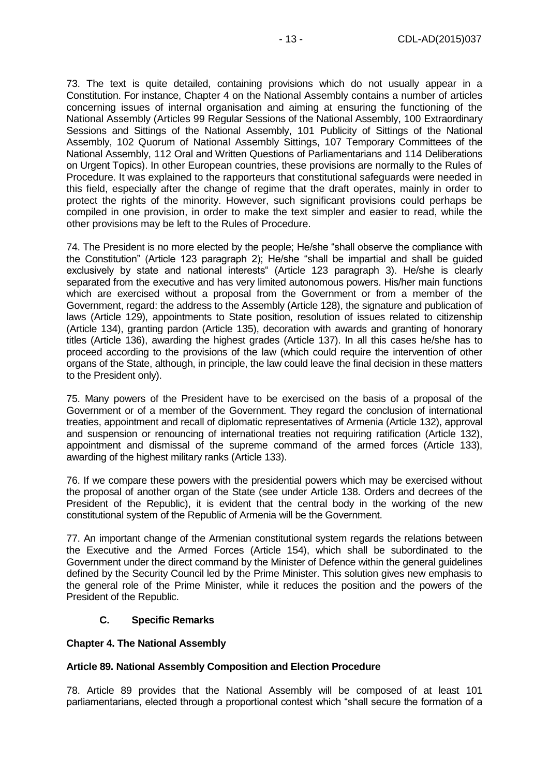73. The text is quite detailed, containing provisions which do not usually appear in a Constitution. For instance, Chapter 4 on the National Assembly contains a number of articles concerning issues of internal organisation and aiming at ensuring the functioning of the National Assembly (Articles 99 Regular Sessions of the National Assembly, 100 Extraordinary Sessions and Sittings of the National Assembly, 101 Publicity of Sittings of the National Assembly, 102 Quorum of National Assembly Sittings, 107 Temporary Committees of the National Assembly, 112 Oral and Written Questions of Parliamentarians and 114 Deliberations on Urgent Topics). In other European countries, these provisions are normally to the Rules of Procedure. It was explained to the rapporteurs that constitutional safeguards were needed in this field, especially after the change of regime that the draft operates, mainly in order to protect the rights of the minority. However, such significant provisions could perhaps be compiled in one provision, in order to make the text simpler and easier to read, while the other provisions may be left to the Rules of Procedure.

74. The President is no more elected by the people; He/she "shall observe the compliance with the Constitution" (Article 123 paragraph 2); He/she "shall be impartial and shall be guided exclusively by state and national interests" (Article 123 paragraph 3). He/she is clearly separated from the executive and has very limited autonomous powers. His/her main functions which are exercised without a proposal from the Government or from a member of the Government, regard: the address to the Assembly (Article 128), the signature and publication of laws (Article 129), appointments to State position, resolution of issues related to citizenship (Article 134), granting pardon (Article 135), decoration with awards and granting of honorary titles (Article 136), awarding the highest grades (Article 137). In all this cases he/she has to proceed according to the provisions of the law (which could require the intervention of other organs of the State, although, in principle, the law could leave the final decision in these matters to the President only).

75. Many powers of the President have to be exercised on the basis of a proposal of the Government or of a member of the Government. They regard the conclusion of international treaties, appointment and recall of diplomatic representatives of Armenia (Article 132), approval and suspension or renouncing of international treaties not requiring ratification (Article 132), appointment and dismissal of the supreme command of the armed forces (Article 133), awarding of the highest military ranks (Article 133).

76. If we compare these powers with the presidential powers which may be exercised without the proposal of another organ of the State (see under Article 138. Orders and decrees of the President of the Republic), it is evident that the central body in the working of the new constitutional system of the Republic of Armenia will be the Government.

77. An important change of the Armenian constitutional system regards the relations between the Executive and the Armed Forces (Article 154), which shall be subordinated to the Government under the direct command by the Minister of Defence within the general guidelines defined by the Security Council led by the Prime Minister. This solution gives new emphasis to the general role of the Prime Minister, while it reduces the position and the powers of the President of the Republic.

# **C. Specific Remarks**

### <span id="page-12-1"></span><span id="page-12-0"></span>**Chapter 4. The National Assembly**

### **Article 89. National Assembly Composition and Election Procedure**

78. Article 89 provides that the National Assembly will be composed of at least 101 parliamentarians, elected through a proportional contest which "shall secure the formation of a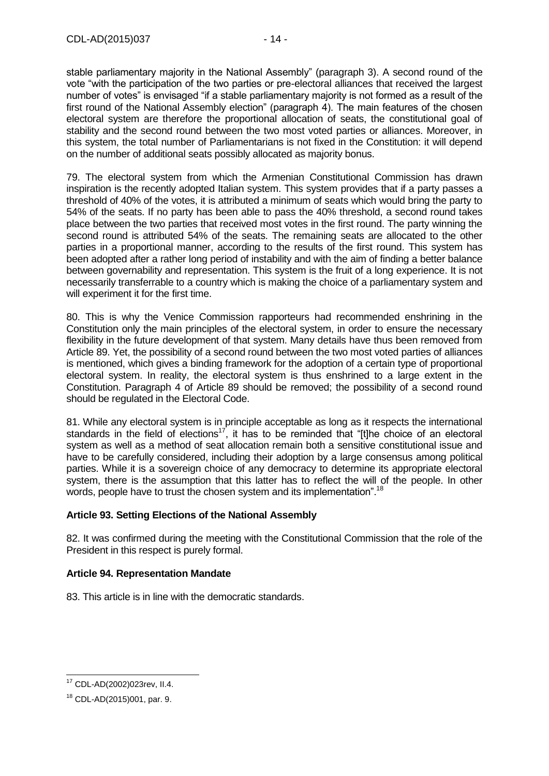stable parliamentary majority in the National Assembly" (paragraph 3). A second round of the vote "with the participation of the two parties or pre-electoral alliances that received the largest number of votes" is envisaged "if a stable parliamentary majority is not formed as a result of the first round of the National Assembly election" (paragraph 4). The main features of the chosen electoral system are therefore the proportional allocation of seats, the constitutional goal of stability and the second round between the two most voted parties or alliances. Moreover, in this system, the total number of Parliamentarians is not fixed in the Constitution: it will depend on the number of additional seats possibly allocated as majority bonus.

79. The electoral system from which the Armenian Constitutional Commission has drawn inspiration is the recently adopted Italian system. This system provides that if a party passes a threshold of 40% of the votes, it is attributed a minimum of seats which would bring the party to 54% of the seats. If no party has been able to pass the 40% threshold, a second round takes place between the two parties that received most votes in the first round. The party winning the second round is attributed 54% of the seats. The remaining seats are allocated to the other parties in a proportional manner, according to the results of the first round. This system has been adopted after a rather long period of instability and with the aim of finding a better balance between governability and representation. This system is the fruit of a long experience. It is not necessarily transferrable to a country which is making the choice of a parliamentary system and will experiment it for the first time.

80. This is why the Venice Commission rapporteurs had recommended enshrining in the Constitution only the main principles of the electoral system, in order to ensure the necessary flexibility in the future development of that system. Many details have thus been removed from Article 89. Yet, the possibility of a second round between the two most voted parties of alliances is mentioned, which gives a binding framework for the adoption of a certain type of proportional electoral system. In reality, the electoral system is thus enshrined to a large extent in the Constitution. Paragraph 4 of Article 89 should be removed; the possibility of a second round should be regulated in the Electoral Code.

81. While any electoral system is in principle acceptable as long as it respects the international standards in the field of elections<sup>17</sup>, it has to be reminded that "[t]he choice of an electoral system as well as a method of seat allocation remain both a sensitive constitutional issue and have to be carefully considered, including their adoption by a large consensus among political parties. While it is a sovereign choice of any democracy to determine its appropriate electoral system, there is the assumption that this latter has to reflect the will of the people. In other words, people have to trust the chosen system and its implementation".<sup>18</sup>

### **Article 93. Setting Elections of the National Assembly**

82. It was confirmed during the meeting with the Constitutional Commission that the role of the President in this respect is purely formal.

### **Article 94. Representation Mandate**

83. This article is in line with the democratic standards.

 $\overline{a}$ <sup>17</sup> CDL-AD(2002)023rev, II.4.

<sup>18</sup> CDL-AD(2015)001, par. 9.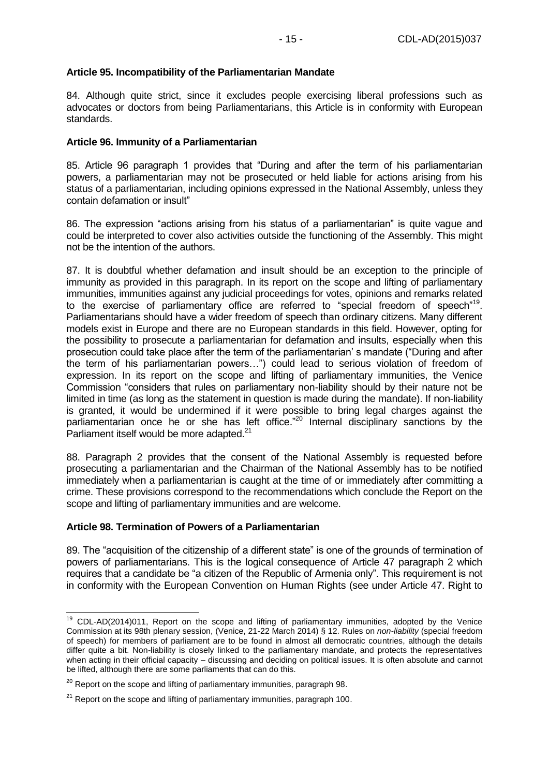## **Article 95. Incompatibility of the Parliamentarian Mandate**

84. Although quite strict, since it excludes people exercising liberal professions such as advocates or doctors from being Parliamentarians, this Article is in conformity with European standards.

### **Article 96. Immunity of a Parliamentarian**

85. Article 96 paragraph 1 provides that "During and after the term of his parliamentarian powers, a parliamentarian may not be prosecuted or held liable for actions arising from his status of a parliamentarian, including opinions expressed in the National Assembly, unless they contain defamation or insult"

86. The expression "actions arising from his status of a parliamentarian" is quite vague and could be interpreted to cover also activities outside the functioning of the Assembly. This might not be the intention of the authors.

87. It is doubtful whether defamation and insult should be an exception to the principle of immunity as provided in this paragraph. In its report on the scope and lifting of parliamentary immunities, immunities against any judicial proceedings for votes, opinions and remarks related to the exercise of parliamentary office are referred to "special freedom of speech"<sup>19</sup>. Parliamentarians should have a wider freedom of speech than ordinary citizens. Many different models exist in Europe and there are no European standards in this field. However, opting for the possibility to prosecute a parliamentarian for defamation and insults, especially when this prosecution could take place after the term of the parliamentarian' s mandate ("During and after the term of his parliamentarian powers…") could lead to serious violation of freedom of expression. In its report on the scope and lifting of parliamentary immunities, the Venice Commission "considers that rules on parliamentary non-liability should by their nature not be limited in time (as long as the statement in question is made during the mandate). If non-liability is granted, it would be undermined if it were possible to bring legal charges against the parliamentarian once he or she has left office."<sup>20</sup> Internal disciplinary sanctions by the Parliament itself would be more adapted.<sup>21</sup>

88. Paragraph 2 provides that the consent of the National Assembly is requested before prosecuting a parliamentarian and the Chairman of the National Assembly has to be notified immediately when a parliamentarian is caught at the time of or immediately after committing a crime. These provisions correspond to the recommendations which conclude the Report on the scope and lifting of parliamentary immunities and are welcome.

#### **Article 98. Termination of Powers of a Parliamentarian**

-

89. The "acquisition of the citizenship of a different state" is one of the grounds of termination of powers of parliamentarians. This is the logical consequence of Article 47 paragraph 2 which requires that a candidate be "a citizen of the Republic of Armenia only". This requirement is not in conformity with the European Convention on Human Rights (see under Article 47. Right to

 $19$  CDL-AD(2014)011, Report on the scope and lifting of parliamentary immunities, adopted by the Venice Commission at its 98th plenary session, (Venice, 21-22 March 2014) § 12. Rules on *non-liability* (special freedom of speech) for members of parliament are to be found in almost all democratic countries, although the details differ quite a bit. Non-liability is closely linked to the parliamentary mandate, and protects the representatives when acting in their official capacity – discussing and deciding on political issues. It is often absolute and cannot be lifted, although there are some parliaments that can do this.

 $20$  Report on the scope and lifting of parliamentary immunities, paragraph 98.

 $21$  Report on the scope and lifting of parliamentary immunities, paragraph 100.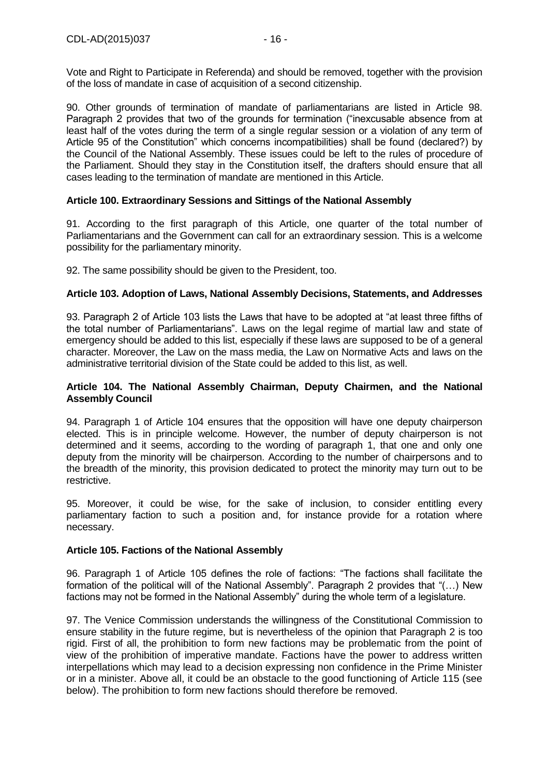Vote and Right to Participate in Referenda) and should be removed, together with the provision of the loss of mandate in case of acquisition of a second citizenship.

90. Other grounds of termination of mandate of parliamentarians are listed in Article 98. Paragraph 2 provides that two of the grounds for termination ("inexcusable absence from at least half of the votes during the term of a single regular session or a violation of any term of Article 95 of the Constitution" which concerns incompatibilities) shall be found (declared?) by the Council of the National Assembly. These issues could be left to the rules of procedure of the Parliament. Should they stay in the Constitution itself, the drafters should ensure that all cases leading to the termination of mandate are mentioned in this Article.

### **Article 100. Extraordinary Sessions and Sittings of the National Assembly**

91. According to the first paragraph of this Article, one quarter of the total number of Parliamentarians and the Government can call for an extraordinary session. This is a welcome possibility for the parliamentary minority.

92. The same possibility should be given to the President, too.

### **Article 103. Adoption of Laws, National Assembly Decisions, Statements, and Addresses**

93. Paragraph 2 of Article 103 lists the Laws that have to be adopted at "at least three fifths of the total number of Parliamentarians". Laws on the legal regime of martial law and state of emergency should be added to this list, especially if these laws are supposed to be of a general character. Moreover, the Law on the mass media, the Law on Normative Acts and laws on the administrative territorial division of the State could be added to this list, as well.

#### **Article 104. The National Assembly Chairman, Deputy Chairmen, and the National Assembly Council**

94. Paragraph 1 of Article 104 ensures that the opposition will have one deputy chairperson elected. This is in principle welcome. However, the number of deputy chairperson is not determined and it seems, according to the wording of paragraph 1, that one and only one deputy from the minority will be chairperson. According to the number of chairpersons and to the breadth of the minority, this provision dedicated to protect the minority may turn out to be restrictive.

95. Moreover, it could be wise, for the sake of inclusion, to consider entitling every parliamentary faction to such a position and, for instance provide for a rotation where necessary.

#### **Article 105. Factions of the National Assembly**

96. Paragraph 1 of Article 105 defines the role of factions: "The factions shall facilitate the formation of the political will of the National Assembly". Paragraph 2 provides that "(…) New factions may not be formed in the National Assembly" during the whole term of a legislature.

97. The Venice Commission understands the willingness of the Constitutional Commission to ensure stability in the future regime, but is nevertheless of the opinion that Paragraph 2 is too rigid. First of all, the prohibition to form new factions may be problematic from the point of view of the prohibition of imperative mandate. Factions have the power to address written interpellations which may lead to a decision expressing non confidence in the Prime Minister or in a minister. Above all, it could be an obstacle to the good functioning of Article 115 (see below). The prohibition to form new factions should therefore be removed.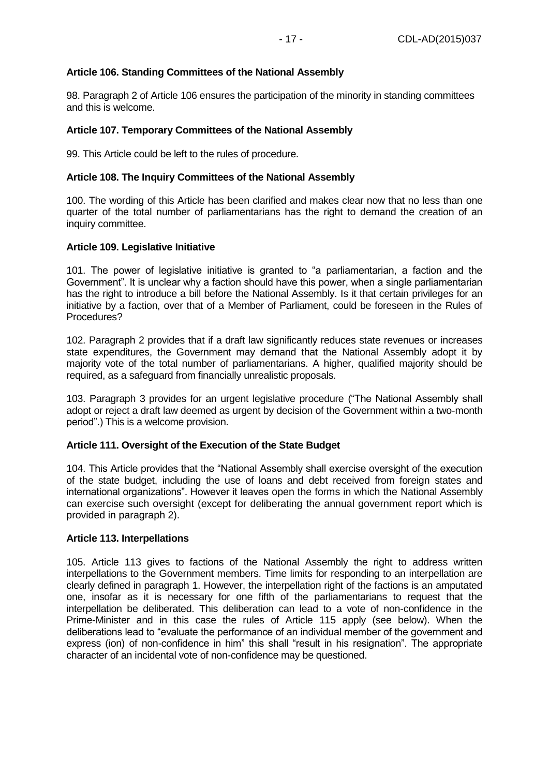### **Article 106. Standing Committees of the National Assembly**

98. Paragraph 2 of Article 106 ensures the participation of the minority in standing committees and this is welcome.

### **Article 107. Temporary Committees of the National Assembly**

99. This Article could be left to the rules of procedure.

### **Article 108. The Inquiry Committees of the National Assembly**

100. The wording of this Article has been clarified and makes clear now that no less than one quarter of the total number of parliamentarians has the right to demand the creation of an inquiry committee.

#### **Article 109. Legislative Initiative**

101. The power of legislative initiative is granted to "a parliamentarian, a faction and the Government". It is unclear why a faction should have this power, when a single parliamentarian has the right to introduce a bill before the National Assembly. Is it that certain privileges for an initiative by a faction, over that of a Member of Parliament, could be foreseen in the Rules of Procedures?

102. Paragraph 2 provides that if a draft law significantly reduces state revenues or increases state expenditures, the Government may demand that the National Assembly adopt it by majority vote of the total number of parliamentarians. A higher, qualified majority should be required, as a safeguard from financially unrealistic proposals.

103. Paragraph 3 provides for an urgent legislative procedure ("The National Assembly shall adopt or reject a draft law deemed as urgent by decision of the Government within a two-month period".) This is a welcome provision.

### **Article 111. Oversight of the Execution of the State Budget**

104. This Article provides that the "National Assembly shall exercise oversight of the execution of the state budget, including the use of loans and debt received from foreign states and international organizations". However it leaves open the forms in which the National Assembly can exercise such oversight (except for deliberating the annual government report which is provided in paragraph 2).

#### **Article 113. Interpellations**

105. Article 113 gives to factions of the National Assembly the right to address written interpellations to the Government members. Time limits for responding to an interpellation are clearly defined in paragraph 1. However, the interpellation right of the factions is an amputated one, insofar as it is necessary for one fifth of the parliamentarians to request that the interpellation be deliberated. This deliberation can lead to a vote of non-confidence in the Prime-Minister and in this case the rules of Article 115 apply (see below). When the deliberations lead to "evaluate the performance of an individual member of the government and express (ion) of non-confidence in him" this shall "result in his resignation". The appropriate character of an incidental vote of non-confidence may be questioned.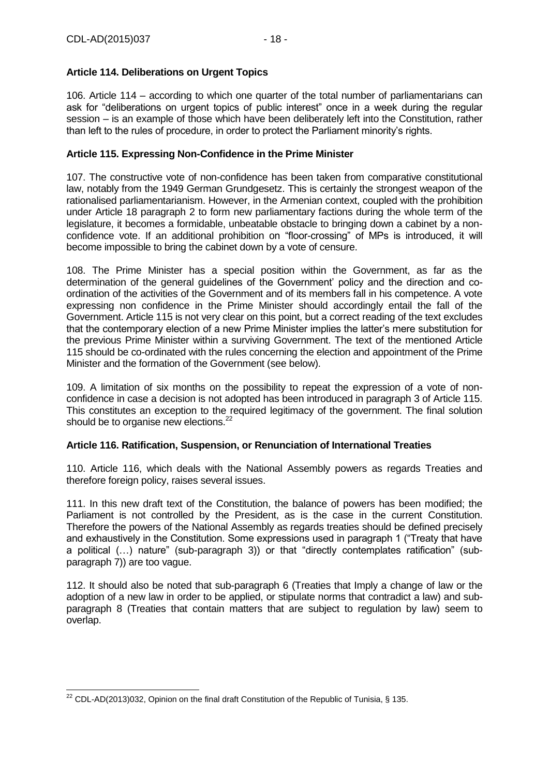# **Article 114. Deliberations on Urgent Topics**

106. Article 114 – according to which one quarter of the total number of parliamentarians can ask for "deliberations on urgent topics of public interest" once in a week during the regular session – is an example of those which have been deliberately left into the Constitution, rather than left to the rules of procedure, in order to protect the Parliament minority's rights.

# **Article 115. Expressing Non-Confidence in the Prime Minister**

107. The constructive vote of non-confidence has been taken from comparative constitutional law, notably from the 1949 German Grundgesetz. This is certainly the strongest weapon of the rationalised parliamentarianism. However, in the Armenian context, coupled with the prohibition under Article 18 paragraph 2 to form new parliamentary factions during the whole term of the legislature, it becomes a formidable, unbeatable obstacle to bringing down a cabinet by a nonconfidence vote. If an additional prohibition on "floor-crossing" of MPs is introduced, it will become impossible to bring the cabinet down by a vote of censure.

108. The Prime Minister has a special position within the Government, as far as the determination of the general guidelines of the Government' policy and the direction and coordination of the activities of the Government and of its members fall in his competence. A vote expressing non confidence in the Prime Minister should accordingly entail the fall of the Government. Article 115 is not very clear on this point, but a correct reading of the text excludes that the contemporary election of a new Prime Minister implies the latter's mere substitution for the previous Prime Minister within a surviving Government. The text of the mentioned Article 115 should be co-ordinated with the rules concerning the election and appointment of the Prime Minister and the formation of the Government (see below).

109. A limitation of six months on the possibility to repeat the expression of a vote of nonconfidence in case a decision is not adopted has been introduced in paragraph 3 of Article 115. This constitutes an exception to the required legitimacy of the government. The final solution should be to organise new elections.<sup>22</sup>

### **Article 116. Ratification, Suspension, or Renunciation of International Treaties**

110. Article 116, which deals with the National Assembly powers as regards Treaties and therefore foreign policy, raises several issues.

111. In this new draft text of the Constitution, the balance of powers has been modified; the Parliament is not controlled by the President, as is the case in the current Constitution. Therefore the powers of the National Assembly as regards treaties should be defined precisely and exhaustively in the Constitution. Some expressions used in paragraph 1 ("Treaty that have a political (…) nature" (sub-paragraph 3)) or that "directly contemplates ratification" (subparagraph 7)) are too vague.

112. It should also be noted that sub-paragraph 6 (Treaties that Imply a change of law or the adoption of a new law in order to be applied, or stipulate norms that contradict a law) and subparagraph 8 (Treaties that contain matters that are subject to regulation by law) seem to overlap.

<sup>-</sup><sup>22</sup> CDL-AD(2013)032, Opinion on the final draft Constitution of the Republic of Tunisia, § 135.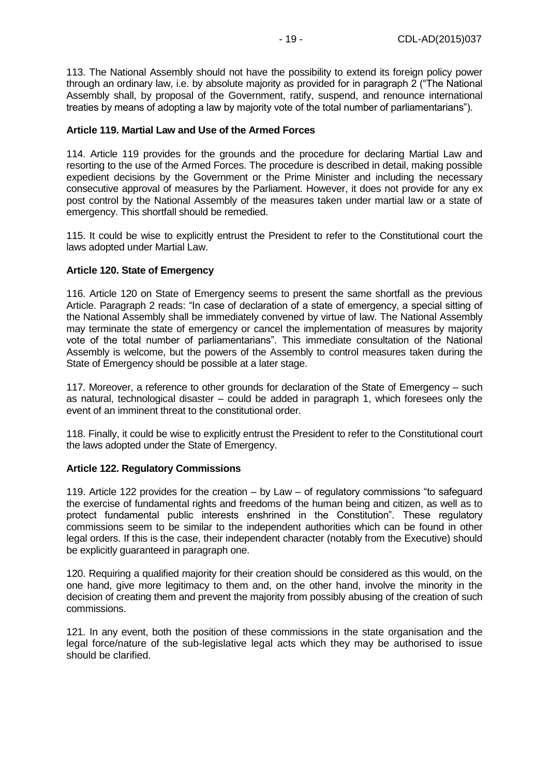113. The National Assembly should not have the possibility to extend its foreign policy power through an ordinary law, i.e. by absolute majority as provided for in paragraph 2 ("The National Assembly shall, by proposal of the Government, ratify, suspend, and renounce international treaties by means of adopting a law by majority vote of the total number of parliamentarians").

#### **Article 119. Martial Law and Use of the Armed Forces**

114. Article 119 provides for the grounds and the procedure for declaring Martial Law and resorting to the use of the Armed Forces. The procedure is described in detail, making possible expedient decisions by the Government or the Prime Minister and including the necessary consecutive approval of measures by the Parliament. However, it does not provide for any ex post control by the National Assembly of the measures taken under martial law or a state of emergency. This shortfall should be remedied.

115. It could be wise to explicitly entrust the President to refer to the Constitutional court the laws adopted under Martial Law.

#### **Article 120. State of Emergency**

116. Article 120 on State of Emergency seems to present the same shortfall as the previous Article. Paragraph 2 reads: "In case of declaration of a state of emergency, a special sitting of the National Assembly shall be immediately convened by virtue of law. The National Assembly may terminate the state of emergency or cancel the implementation of measures by majority vote of the total number of parliamentarians". This immediate consultation of the National Assembly is welcome, but the powers of the Assembly to control measures taken during the State of Emergency should be possible at a later stage.

117. Moreover, a reference to other grounds for declaration of the State of Emergency – such as natural, technological disaster – could be added in paragraph 1, which foresees only the event of an imminent threat to the constitutional order.

118. Finally, it could be wise to explicitly entrust the President to refer to the Constitutional court the laws adopted under the State of Emergency.

#### **Article 122. Regulatory Commissions**

119. Article 122 provides for the creation – by Law – of regulatory commissions "to safeguard the exercise of fundamental rights and freedoms of the human being and citizen, as well as to protect fundamental public interests enshrined in the Constitution". These regulatory commissions seem to be similar to the independent authorities which can be found in other legal orders. If this is the case, their independent character (notably from the Executive) should be explicitly guaranteed in paragraph one.

120. Requiring a qualified majority for their creation should be considered as this would, on the one hand, give more legitimacy to them and, on the other hand, involve the minority in the decision of creating them and prevent the majority from possibly abusing of the creation of such commissions.

121. In any event, both the position of these commissions in the state organisation and the legal force/nature of the sub-legislative legal acts which they may be authorised to issue should be clarified.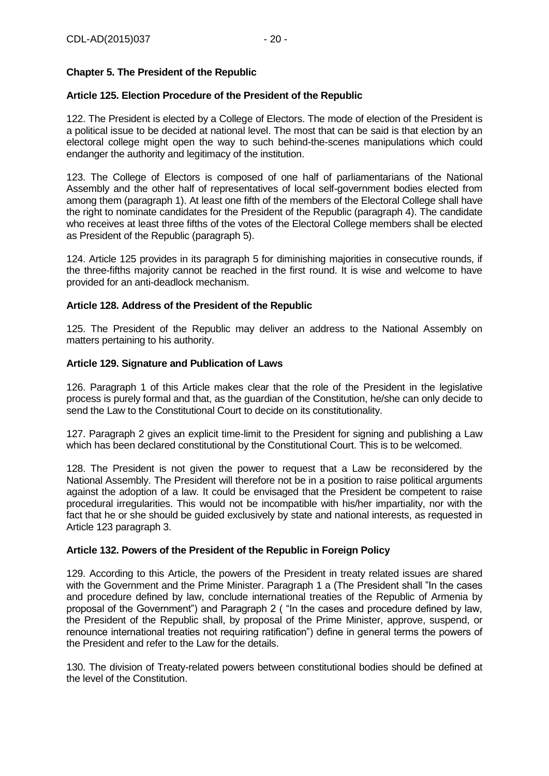# <span id="page-19-0"></span>**Chapter 5. The President of the Republic**

### **Article 125. Election Procedure of the President of the Republic**

122. The President is elected by a College of Electors. The mode of election of the President is a political issue to be decided at national level. The most that can be said is that election by an electoral college might open the way to such behind-the-scenes manipulations which could endanger the authority and legitimacy of the institution.

123. The College of Electors is composed of one half of parliamentarians of the National Assembly and the other half of representatives of local self-government bodies elected from among them (paragraph 1). At least one fifth of the members of the Electoral College shall have the right to nominate candidates for the President of the Republic (paragraph 4). The candidate who receives at least three fifths of the votes of the Electoral College members shall be elected as President of the Republic (paragraph 5).

124. Article 125 provides in its paragraph 5 for diminishing majorities in consecutive rounds, if the three-fifths majority cannot be reached in the first round. It is wise and welcome to have provided for an anti-deadlock mechanism.

### **Article 128. Address of the President of the Republic**

125. The President of the Republic may deliver an address to the National Assembly on matters pertaining to his authority.

#### **Article 129. Signature and Publication of Laws**

126. Paragraph 1 of this Article makes clear that the role of the President in the legislative process is purely formal and that, as the guardian of the Constitution, he/she can only decide to send the Law to the Constitutional Court to decide on its constitutionality.

127. Paragraph 2 gives an explicit time-limit to the President for signing and publishing a Law which has been declared constitutional by the Constitutional Court. This is to be welcomed.

128. The President is not given the power to request that a Law be reconsidered by the National Assembly. The President will therefore not be in a position to raise political arguments against the adoption of a law. It could be envisaged that the President be competent to raise procedural irregularities. This would not be incompatible with his/her impartiality, nor with the fact that he or she should be guided exclusively by state and national interests, as requested in Article 123 paragraph 3.

# **Article 132. Powers of the President of the Republic in Foreign Policy**

129. According to this Article, the powers of the President in treaty related issues are shared with the Government and the Prime Minister. Paragraph 1 a (The President shall "In the cases and procedure defined by law, conclude international treaties of the Republic of Armenia by proposal of the Government") and Paragraph 2 ( "In the cases and procedure defined by law, the President of the Republic shall, by proposal of the Prime Minister, approve, suspend, or renounce international treaties not requiring ratification") define in general terms the powers of the President and refer to the Law for the details.

130. The division of Treaty-related powers between constitutional bodies should be defined at the level of the Constitution.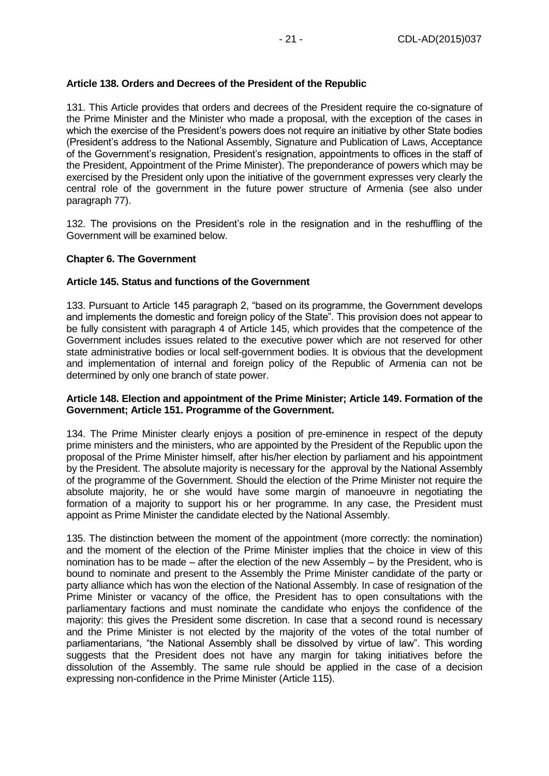## **Article 138. Orders and Decrees of the President of the Republic**

131. This Article provides that orders and decrees of the President require the co-signature of the Prime Minister and the Minister who made a proposal, with the exception of the cases in which the exercise of the President's powers does not require an initiative by other State bodies (President's address to the National Assembly, Signature and Publication of Laws, Acceptance of the Government's resignation, President's resignation, appointments to offices in the staff of the President, Appointment of the Prime Minister). The preponderance of powers which may be exercised by the President only upon the initiative of the government expresses very clearly the central role of the government in the future power structure of Armenia (see also under paragraph 77).

132. The provisions on the President's role in the resignation and in the reshuffling of the Government will be examined below.

### <span id="page-20-0"></span>**Chapter 6. The Government**

### **Article 145. Status and functions of the Government**

133. Pursuant to Article 145 paragraph 2, "based on its programme, the Government develops and implements the domestic and foreign policy of the State". This provision does not appear to be fully consistent with paragraph 4 of Article 145, which provides that the competence of the Government includes issues related to the executive power which are not reserved for other state administrative bodies or local self-government bodies. It is obvious that the development and implementation of internal and foreign policy of the Republic of Armenia can not be determined by only one branch of state power.

#### **Article 148. Election and appointment of the Prime Minister; Article 149. Formation of the Government; Article 151. Programme of the Government.**

134. The Prime Minister clearly enjoys a position of pre-eminence in respect of the deputy prime ministers and the ministers, who are appointed by the President of the Republic upon the proposal of the Prime Minister himself, after his/her election by parliament and his appointment by the President. The absolute majority is necessary for the approval by the National Assembly of the programme of the Government. Should the election of the Prime Minister not require the absolute majority, he or she would have some margin of manoeuvre in negotiating the formation of a majority to support his or her programme. In any case, the President must appoint as Prime Minister the candidate elected by the National Assembly.

135. The distinction between the moment of the appointment (more correctly: the nomination) and the moment of the election of the Prime Minister implies that the choice in view of this nomination has to be made – after the election of the new Assembly – by the President, who is bound to nominate and present to the Assembly the Prime Minister candidate of the party or party alliance which has won the election of the National Assembly. In case of resignation of the Prime Minister or vacancy of the office, the President has to open consultations with the parliamentary factions and must nominate the candidate who enjoys the confidence of the majority: this gives the President some discretion. In case that a second round is necessary and the Prime Minister is not elected by the majority of the votes of the total number of parliamentarians, "the National Assembly shall be dissolved by virtue of law". This wording suggests that the President does not have any margin for taking initiatives before the dissolution of the Assembly. The same rule should be applied in the case of a decision expressing non-confidence in the Prime Minister (Article 115).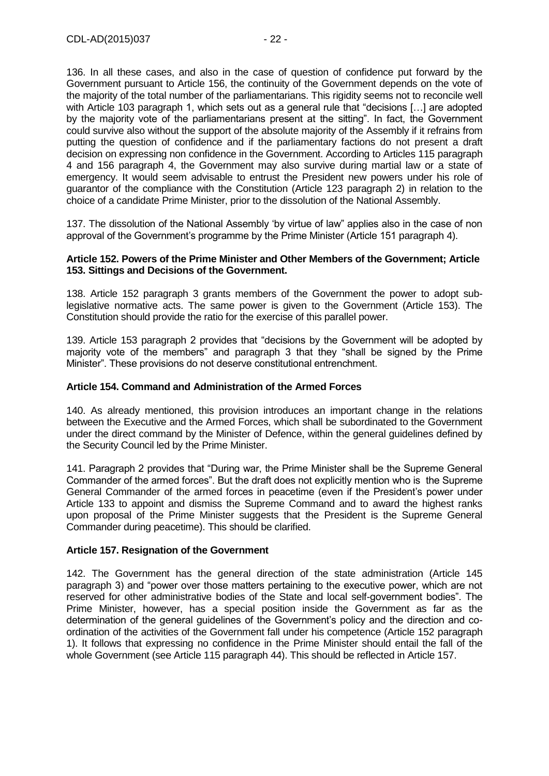136. In all these cases, and also in the case of question of confidence put forward by the Government pursuant to Article 156, the continuity of the Government depends on the vote of the majority of the total number of the parliamentarians. This rigidity seems not to reconcile well with Article 103 paragraph 1, which sets out as a general rule that "decisions […] are adopted by the majority vote of the parliamentarians present at the sitting". In fact, the Government could survive also without the support of the absolute majority of the Assembly if it refrains from putting the question of confidence and if the parliamentary factions do not present a draft decision on expressing non confidence in the Government. According to Articles 115 paragraph 4 and 156 paragraph 4, the Government may also survive during martial law or a state of emergency. It would seem advisable to entrust the President new powers under his role of guarantor of the compliance with the Constitution (Article 123 paragraph 2) in relation to the choice of a candidate Prime Minister, prior to the dissolution of the National Assembly.

137. The dissolution of the National Assembly 'by virtue of law" applies also in the case of non approval of the Government's programme by the Prime Minister (Article 151 paragraph 4).

#### **Article 152. Powers of the Prime Minister and Other Members of the Government; Article 153. Sittings and Decisions of the Government.**

138. Article 152 paragraph 3 grants members of the Government the power to adopt sublegislative normative acts. The same power is given to the Government (Article 153). The Constitution should provide the ratio for the exercise of this parallel power.

139. Article 153 paragraph 2 provides that "decisions by the Government will be adopted by majority vote of the members" and paragraph 3 that they "shall be signed by the Prime Minister". These provisions do not deserve constitutional entrenchment.

#### **Article 154. Command and Administration of the Armed Forces**

140. As already mentioned, this provision introduces an important change in the relations between the Executive and the Armed Forces, which shall be subordinated to the Government under the direct command by the Minister of Defence, within the general guidelines defined by the Security Council led by the Prime Minister.

141. Paragraph 2 provides that "During war, the Prime Minister shall be the Supreme General Commander of the armed forces". But the draft does not explicitly mention who is the Supreme General Commander of the armed forces in peacetime (even if the President's power under Article 133 to appoint and dismiss the Supreme Command and to award the highest ranks upon proposal of the Prime Minister suggests that the President is the Supreme General Commander during peacetime). This should be clarified.

### **Article 157. Resignation of the Government**

142. The Government has the general direction of the state administration (Article 145 paragraph 3) and "power over those matters pertaining to the executive power, which are not reserved for other administrative bodies of the State and local self-government bodies". The Prime Minister, however, has a special position inside the Government as far as the determination of the general guidelines of the Government's policy and the direction and coordination of the activities of the Government fall under his competence (Article 152 paragraph 1). It follows that expressing no confidence in the Prime Minister should entail the fall of the whole Government (see Article 115 paragraph 44). This should be reflected in Article 157.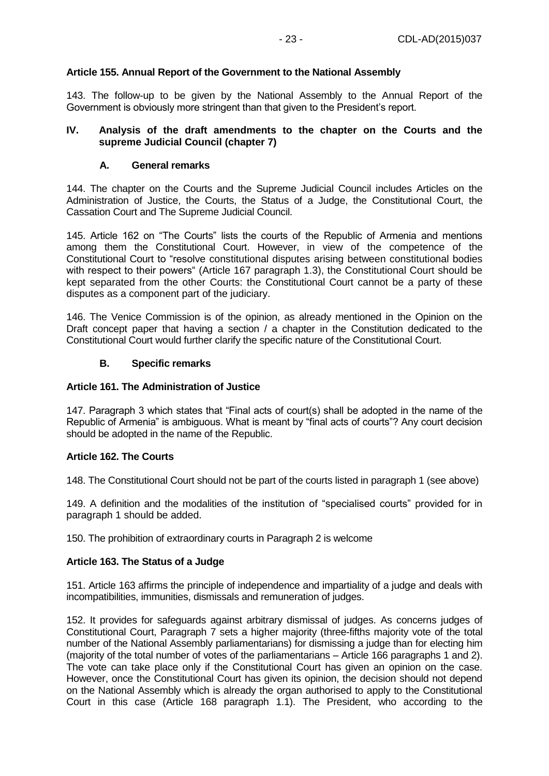# **Article 155. Annual Report of the Government to the National Assembly**

143. The follow-up to be given by the National Assembly to the Annual Report of the Government is obviously more stringent than that given to the President's report.

#### <span id="page-22-0"></span>**IV. Analysis of the draft amendments to the chapter on the Courts and the supreme Judicial Council (chapter 7)**

### **A. General remarks**

<span id="page-22-1"></span>144. The chapter on the Courts and the Supreme Judicial Council includes Articles on the Administration of Justice, the Courts, the Status of a Judge, the Constitutional Court, the Cassation Court and The Supreme Judicial Council.

145. Article 162 on "The Courts" lists the courts of the Republic of Armenia and mentions among them the Constitutional Court. However, in view of the competence of the Constitutional Court to "resolve constitutional disputes arising between constitutional bodies with respect to their powers" (Article 167 paragraph 1.3), the Constitutional Court should be kept separated from the other Courts: the Constitutional Court cannot be a party of these disputes as a component part of the judiciary.

146. The Venice Commission is of the opinion, as already mentioned in the Opinion on the Draft concept paper that having a section / a chapter in the Constitution dedicated to the Constitutional Court would further clarify the specific nature of the Constitutional Court.

### **B. Specific remarks**

#### <span id="page-22-2"></span>**Article 161. The Administration of Justice**

147. Paragraph 3 which states that "Final acts of court(s) shall be adopted in the name of the Republic of Armenia" is ambiguous. What is meant by "final acts of courts"? Any court decision should be adopted in the name of the Republic.

### **Article 162. The Courts**

148. The Constitutional Court should not be part of the courts listed in paragraph 1 (see above)

149. A definition and the modalities of the institution of "specialised courts" provided for in paragraph 1 should be added.

150. The prohibition of extraordinary courts in Paragraph 2 is welcome

#### **Article 163. The Status of a Judge**

151. Article 163 affirms the principle of independence and impartiality of a judge and deals with incompatibilities, immunities, dismissals and remuneration of judges.

152. It provides for safeguards against arbitrary dismissal of judges. As concerns judges of Constitutional Court, Paragraph 7 sets a higher majority (three-fifths majority vote of the total number of the National Assembly parliamentarians) for dismissing a judge than for electing him (majority of the total number of votes of the parliamentarians – Article 166 paragraphs 1 and 2). The vote can take place only if the Constitutional Court has given an opinion on the case. However, once the Constitutional Court has given its opinion, the decision should not depend on the National Assembly which is already the organ authorised to apply to the Constitutional Court in this case (Article 168 paragraph 1.1). The President, who according to the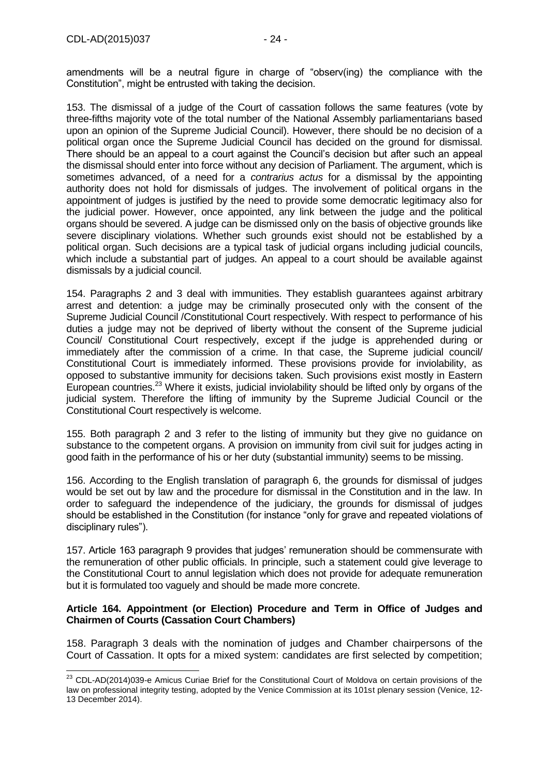-

amendments will be a neutral figure in charge of "observ(ing) the compliance with the Constitution", might be entrusted with taking the decision.

153. The dismissal of a judge of the Court of cassation follows the same features (vote by three-fifths majority vote of the total number of the National Assembly parliamentarians based upon an opinion of the Supreme Judicial Council). However, there should be no decision of a political organ once the Supreme Judicial Council has decided on the ground for dismissal. There should be an appeal to a court against the Council's decision but after such an appeal the dismissal should enter into force without any decision of Parliament. The argument, which is sometimes advanced, of a need for a *contrarius actus* for a dismissal by the appointing authority does not hold for dismissals of judges. The involvement of political organs in the appointment of judges is justified by the need to provide some democratic legitimacy also for the judicial power. However, once appointed, any link between the judge and the political organs should be severed. A judge can be dismissed only on the basis of objective grounds like severe disciplinary violations. Whether such grounds exist should not be established by a political organ. Such decisions are a typical task of judicial organs including judicial councils, which include a substantial part of judges. An appeal to a court should be available against dismissals by a judicial council.

154. Paragraphs 2 and 3 deal with immunities. They establish guarantees against arbitrary arrest and detention: a judge may be criminally prosecuted only with the consent of the Supreme Judicial Council /Constitutional Court respectively. With respect to performance of his duties a judge may not be deprived of liberty without the consent of the Supreme judicial Council/ Constitutional Court respectively, except if the judge is apprehended during or immediately after the commission of a crime. In that case, the Supreme judicial council/ Constitutional Court is immediately informed. These provisions provide for inviolability, as opposed to substantive immunity for decisions taken. Such provisions exist mostly in Eastern European countries.<sup>23</sup> Where it exists, judicial inviolability should be lifted only by organs of the judicial system. Therefore the lifting of immunity by the Supreme Judicial Council or the Constitutional Court respectively is welcome.

155. Both paragraph 2 and 3 refer to the listing of immunity but they give no guidance on substance to the competent organs. A provision on immunity from civil suit for judges acting in good faith in the performance of his or her duty (substantial immunity) seems to be missing.

156. According to the English translation of paragraph 6, the grounds for dismissal of judges would be set out by law and the procedure for dismissal in the Constitution and in the law. In order to safeguard the independence of the judiciary, the grounds for dismissal of judges should be established in the Constitution (for instance "only for grave and repeated violations of disciplinary rules").

157. Article 163 paragraph 9 provides that judges' remuneration should be commensurate with the remuneration of other public officials. In principle, such a statement could give leverage to the Constitutional Court to annul legislation which does not provide for adequate remuneration but it is formulated too vaguely and should be made more concrete.

#### **Article 164. Appointment (or Election) Procedure and Term in Office of Judges and Chairmen of Courts (Cassation Court Chambers)**

158. Paragraph 3 deals with the nomination of judges and Chamber chairpersons of the Court of Cassation. It opts for a mixed system: candidates are first selected by competition;

 $^{23}$  CDL-AD(2014)039-e Amicus Curiae Brief for the Constitutional Court of Moldova on certain provisions of the law on professional integrity testing, adopted by the Venice Commission at its 101st plenary session (Venice, 12- 13 December 2014).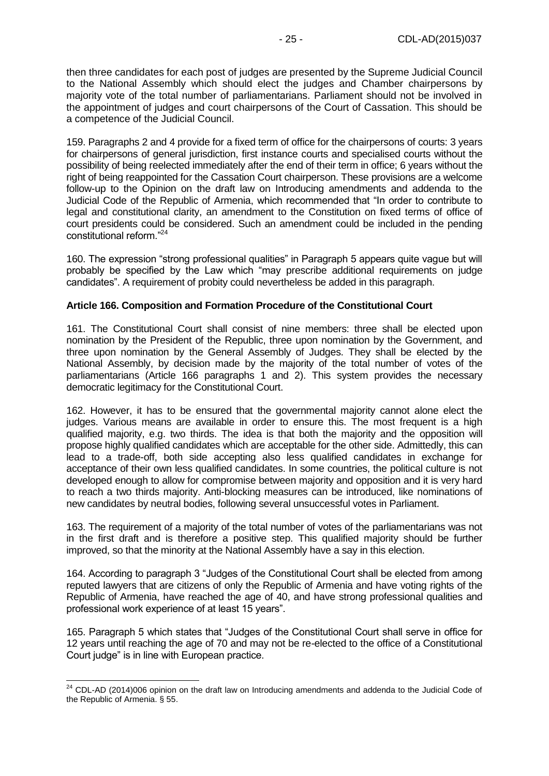then three candidates for each post of judges are presented by the Supreme Judicial Council to the National Assembly which should elect the judges and Chamber chairpersons by majority vote of the total number of parliamentarians. Parliament should not be involved in the appointment of judges and court chairpersons of the Court of Cassation. This should be a competence of the Judicial Council.

159. Paragraphs 2 and 4 provide for a fixed term of office for the chairpersons of courts: 3 years for chairpersons of general jurisdiction, first instance courts and specialised courts without the possibility of being reelected immediately after the end of their term in office; 6 years without the right of being reappointed for the Cassation Court chairperson. These provisions are a welcome follow-up to the Opinion on the draft law on Introducing amendments and addenda to the Judicial Code of the Republic of Armenia, which recommended that "In order to contribute to legal and constitutional clarity, an amendment to the Constitution on fixed terms of office of court presidents could be considered. Such an amendment could be included in the pending constitutional reform."<sup>24</sup>

160. The expression "strong professional qualities" in Paragraph 5 appears quite vague but will probably be specified by the Law which "may prescribe additional requirements on judge candidates". A requirement of probity could nevertheless be added in this paragraph.

#### **Article 166. Composition and Formation Procedure of the Constitutional Court**

161. The Constitutional Court shall consist of nine members: three shall be elected upon nomination by the President of the Republic, three upon nomination by the Government, and three upon nomination by the General Assembly of Judges. They shall be elected by the National Assembly, by decision made by the majority of the total number of votes of the parliamentarians (Article 166 paragraphs 1 and 2). This system provides the necessary democratic legitimacy for the Constitutional Court.

162. However, it has to be ensured that the governmental majority cannot alone elect the judges. Various means are available in order to ensure this. The most frequent is a high qualified majority, e.g. two thirds. The idea is that both the majority and the opposition will propose highly qualified candidates which are acceptable for the other side. Admittedly, this can lead to a trade-off, both side accepting also less qualified candidates in exchange for acceptance of their own less qualified candidates. In some countries, the political culture is not developed enough to allow for compromise between majority and opposition and it is very hard to reach a two thirds majority. Anti-blocking measures can be introduced, like nominations of new candidates by neutral bodies, following several unsuccessful votes in Parliament.

163. The requirement of a majority of the total number of votes of the parliamentarians was not in the first draft and is therefore a positive step. This qualified majority should be further improved, so that the minority at the National Assembly have a say in this election.

164. According to paragraph 3 "Judges of the Constitutional Court shall be elected from among reputed lawyers that are citizens of only the Republic of Armenia and have voting rights of the Republic of Armenia, have reached the age of 40, and have strong professional qualities and professional work experience of at least 15 years".

165. Paragraph 5 which states that "Judges of the Constitutional Court shall serve in office for 12 years until reaching the age of 70 and may not be re-elected to the office of a Constitutional Court judge" is in line with European practice.

 $\overline{a}$ 

 $24$  CDL-AD (2014)006 opinion on the draft law on Introducing amendments and addenda to the Judicial Code of the Republic of Armenia. § 55.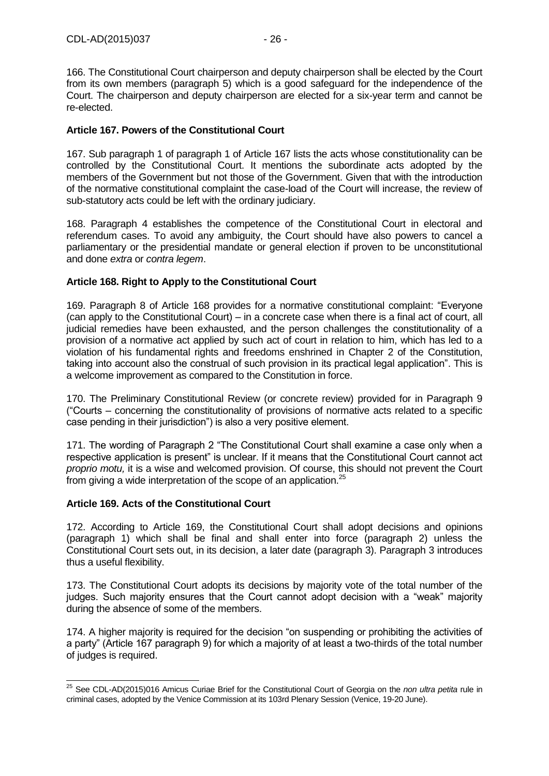166. The Constitutional Court chairperson and deputy chairperson shall be elected by the Court from its own members (paragraph 5) which is a good safeguard for the independence of the Court. The chairperson and deputy chairperson are elected for a six-year term and cannot be re-elected.

# **Article 167. Powers of the Constitutional Court**

167. Sub paragraph 1 of paragraph 1 of Article 167 lists the acts whose constitutionality can be controlled by the Constitutional Court. It mentions the subordinate acts adopted by the members of the Government but not those of the Government. Given that with the introduction of the normative constitutional complaint the case-load of the Court will increase, the review of sub-statutory acts could be left with the ordinary judiciary.

168. Paragraph 4 establishes the competence of the Constitutional Court in electoral and referendum cases. To avoid any ambiguity, the Court should have also powers to cancel a parliamentary or the presidential mandate or general election if proven to be unconstitutional and done *extra* or *contra legem*.

### **Article 168. Right to Apply to the Constitutional Court**

169. Paragraph 8 of Article 168 provides for a normative constitutional complaint: "Everyone (can apply to the Constitutional Court) – in a concrete case when there is a final act of court, all judicial remedies have been exhausted, and the person challenges the constitutionality of a provision of a normative act applied by such act of court in relation to him, which has led to a violation of his fundamental rights and freedoms enshrined in Chapter 2 of the Constitution, taking into account also the construal of such provision in its practical legal application". This is a welcome improvement as compared to the Constitution in force.

170. The Preliminary Constitutional Review (or concrete review) provided for in Paragraph 9 ("Courts – concerning the constitutionality of provisions of normative acts related to a specific case pending in their jurisdiction") is also a very positive element.

171. The wording of Paragraph 2 "The Constitutional Court shall examine a case only when a respective application is present" is unclear. If it means that the Constitutional Court cannot act *proprio motu,* it is a wise and welcomed provision. Of course, this should not prevent the Court from giving a wide interpretation of the scope of an application.<sup>25</sup>

#### **Article 169. Acts of the Constitutional Court**

172. According to Article 169, the Constitutional Court shall adopt decisions and opinions (paragraph 1) which shall be final and shall enter into force (paragraph 2) unless the Constitutional Court sets out, in its decision, a later date (paragraph 3). Paragraph 3 introduces thus a useful flexibility.

173. The Constitutional Court adopts its decisions by majority vote of the total number of the judges. Such majority ensures that the Court cannot adopt decision with a "weak" majority during the absence of some of the members.

174. A higher majority is required for the decision "on suspending or prohibiting the activities of a party" (Article 167 paragraph 9) for which a majority of at least a two-thirds of the total number of judges is required.

 $\overline{a}$ <sup>25</sup> See CDL-AD(2015)016 [Amicus Curiae Brief for the Constitutional Court of Georgia on the](http://www.venice.coe.int/webforms/documents/?pdf=CDL-AD%282015%29016-e) *non ultra petita* rule in [criminal cases, adopted by the Venice Commission at its 103rd Plenary Session \(Venice, 19-20 June\).](http://www.venice.coe.int/webforms/documents/?pdf=CDL-AD%282015%29016-e)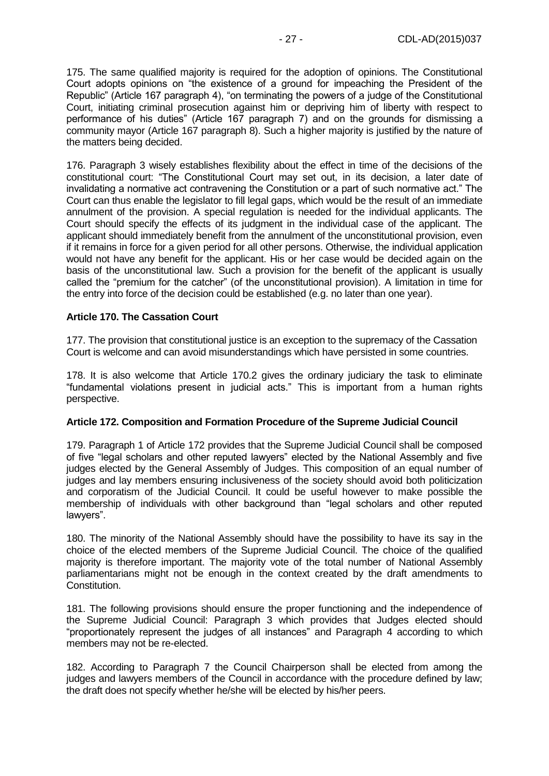175. The same qualified majority is required for the adoption of opinions. The Constitutional Court adopts opinions on "the existence of a ground for impeaching the President of the Republic" (Article 167 paragraph 4), "on terminating the powers of a judge of the Constitutional Court, initiating criminal prosecution against him or depriving him of liberty with respect to performance of his duties" (Article 167 paragraph 7) and on the grounds for dismissing a community mayor (Article 167 paragraph 8). Such a higher majority is justified by the nature of the matters being decided.

176. Paragraph 3 wisely establishes flexibility about the effect in time of the decisions of the constitutional court: "The Constitutional Court may set out, in its decision, a later date of invalidating a normative act contravening the Constitution or a part of such normative act." The Court can thus enable the legislator to fill legal gaps, which would be the result of an immediate annulment of the provision. A special regulation is needed for the individual applicants. The Court should specify the effects of its judgment in the individual case of the applicant. The applicant should immediately benefit from the annulment of the unconstitutional provision, even if it remains in force for a given period for all other persons. Otherwise, the individual application would not have any benefit for the applicant. His or her case would be decided again on the basis of the unconstitutional law. Such a provision for the benefit of the applicant is usually called the "premium for the catcher" (of the unconstitutional provision). A limitation in time for the entry into force of the decision could be established (e.g. no later than one year).

#### **Article 170. The Cassation Court**

177. The provision that constitutional justice is an exception to the supremacy of the Cassation Court is welcome and can avoid misunderstandings which have persisted in some countries.

178. It is also welcome that Article 170.2 gives the ordinary judiciary the task to eliminate "fundamental violations present in judicial acts." This is important from a human rights perspective.

#### **Article 172. Composition and Formation Procedure of the Supreme Judicial Council**

179. Paragraph 1 of Article 172 provides that the Supreme Judicial Council shall be composed of five "legal scholars and other reputed lawyers" elected by the National Assembly and five judges elected by the General Assembly of Judges. This composition of an equal number of judges and lay members ensuring inclusiveness of the society should avoid both politicization and corporatism of the Judicial Council. It could be useful however to make possible the membership of individuals with other background than "legal scholars and other reputed lawyers".

180. The minority of the National Assembly should have the possibility to have its say in the choice of the elected members of the Supreme Judicial Council. The choice of the qualified majority is therefore important. The majority vote of the total number of National Assembly parliamentarians might not be enough in the context created by the draft amendments to Constitution.

181. The following provisions should ensure the proper functioning and the independence of the Supreme Judicial Council: Paragraph 3 which provides that Judges elected should "proportionately represent the judges of all instances" and Paragraph 4 according to which members may not be re-elected.

182. According to Paragraph 7 the Council Chairperson shall be elected from among the judges and lawyers members of the Council in accordance with the procedure defined by law; the draft does not specify whether he/she will be elected by his/her peers.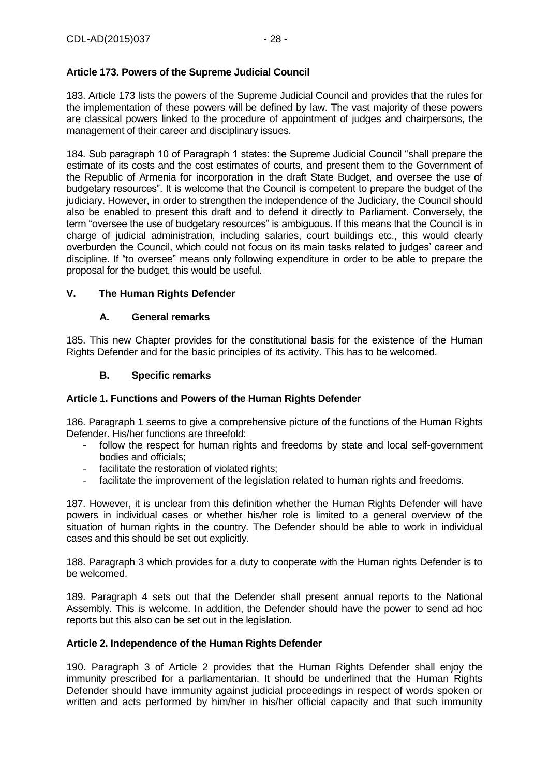# **Article 173. Powers of the Supreme Judicial Council**

183. Article 173 lists the powers of the Supreme Judicial Council and provides that the rules for the implementation of these powers will be defined by law. The vast majority of these powers are classical powers linked to the procedure of appointment of judges and chairpersons, the management of their career and disciplinary issues.

184. Sub paragraph 10 of Paragraph 1 states: the Supreme Judicial Council "shall prepare the estimate of its costs and the cost estimates of courts, and present them to the Government of the Republic of Armenia for incorporation in the draft State Budget, and oversee the use of budgetary resources". It is welcome that the Council is competent to prepare the budget of the judiciary. However, in order to strengthen the independence of the Judiciary, the Council should also be enabled to present this draft and to defend it directly to Parliament. Conversely, the term "oversee the use of budgetary resources" is ambiguous. If this means that the Council is in charge of judicial administration, including salaries, court buildings etc., this would clearly overburden the Council, which could not focus on its main tasks related to judges' career and discipline. If "to oversee" means only following expenditure in order to be able to prepare the proposal for the budget, this would be useful.

# <span id="page-27-1"></span><span id="page-27-0"></span>**V. The Human Rights Defender**

# **A. General remarks**

185. This new Chapter provides for the constitutional basis for the existence of the Human Rights Defender and for the basic principles of its activity. This has to be welcomed.

# **B. Specific remarks**

### <span id="page-27-2"></span>**Article 1. Functions and Powers of the Human Rights Defender**

186. Paragraph 1 seems to give a comprehensive picture of the functions of the Human Rights Defender. His/her functions are threefold:

- follow the respect for human rights and freedoms by state and local self-government bodies and officials;
- facilitate the restoration of violated rights;
- facilitate the improvement of the legislation related to human rights and freedoms.

187. However, it is unclear from this definition whether the Human Rights Defender will have powers in individual cases or whether his/her role is limited to a general overview of the situation of human rights in the country. The Defender should be able to work in individual cases and this should be set out explicitly.

188. Paragraph 3 which provides for a duty to cooperate with the Human rights Defender is to be welcomed.

189. Paragraph 4 sets out that the Defender shall present annual reports to the National Assembly. This is welcome. In addition, the Defender should have the power to send ad hoc reports but this also can be set out in the legislation.

### **Article 2. Independence of the Human Rights Defender**

190. Paragraph 3 of Article 2 provides that the Human Rights Defender shall enjoy the immunity prescribed for a parliamentarian. It should be underlined that the Human Rights Defender should have immunity against judicial proceedings in respect of words spoken or written and acts performed by him/her in his/her official capacity and that such immunity